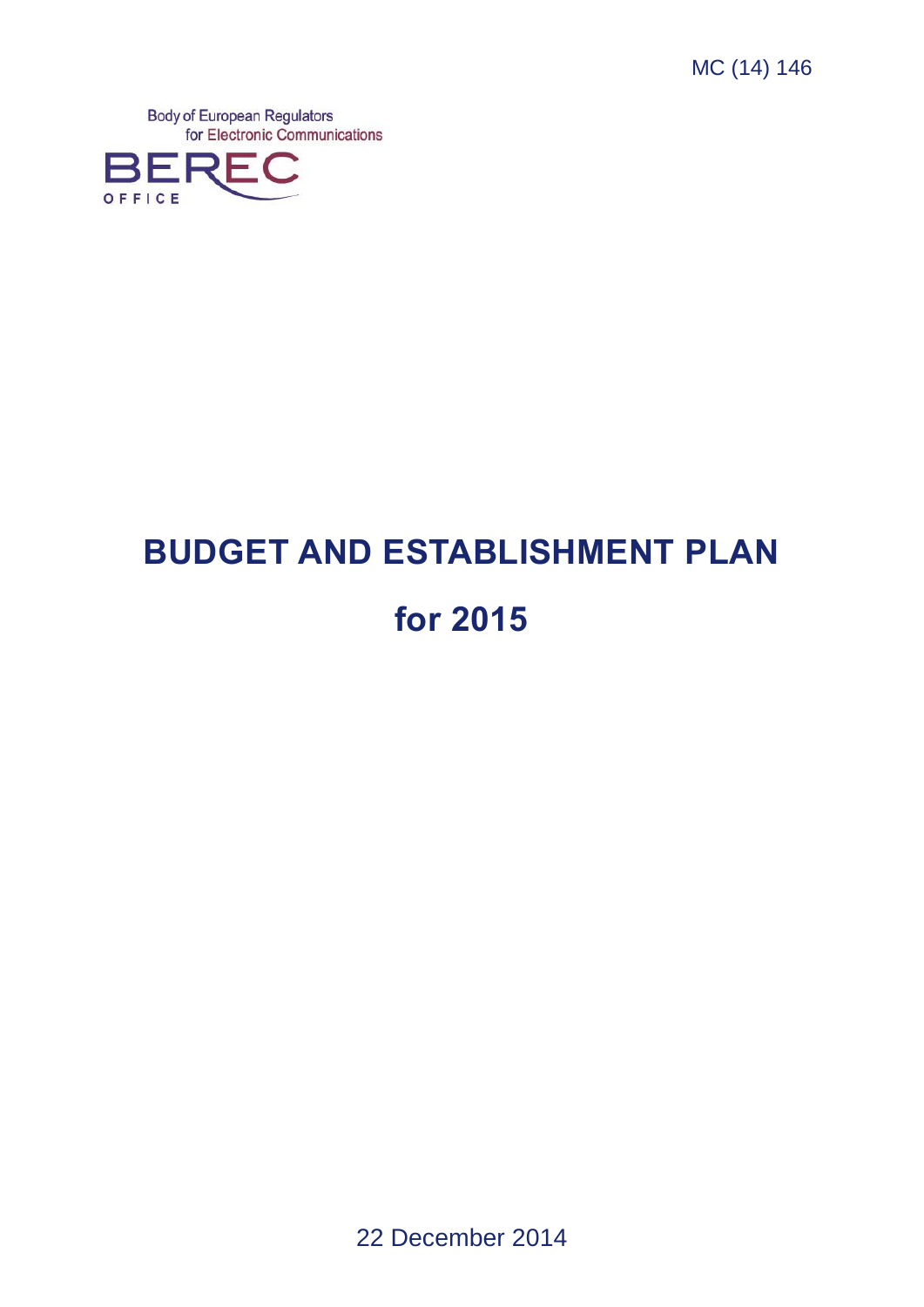MC (14) 146

**Body of European Regulators** for Electronic Communications



# **BUDGET AND ESTABLISHMENT PLAN for 2015**

22 December 2014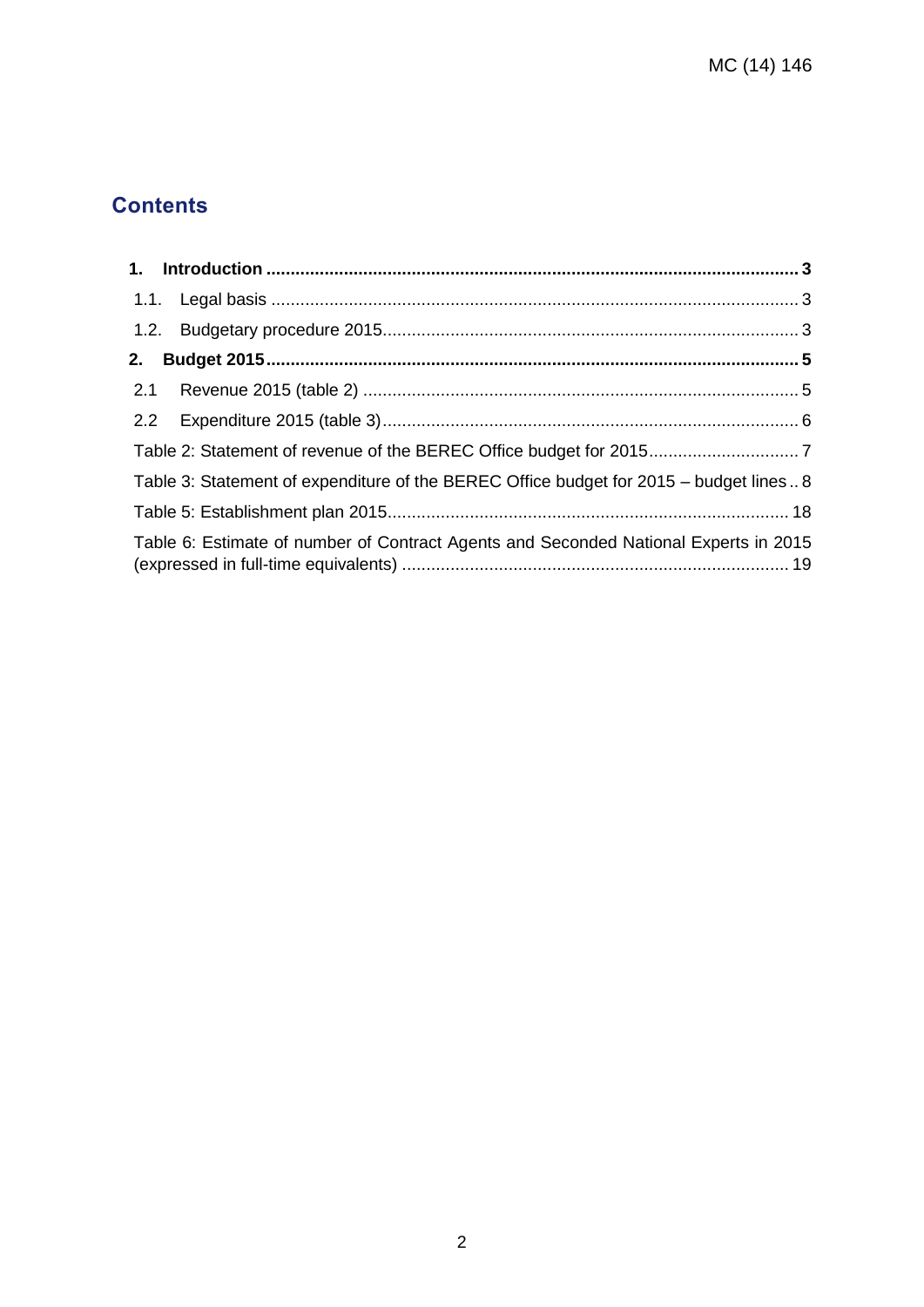# **Contents**

| Table 3: Statement of expenditure of the BEREC Office budget for 2015 - budget lines 8 |  |
|----------------------------------------------------------------------------------------|--|
|                                                                                        |  |
| Table 6: Estimate of number of Contract Agents and Seconded National Experts in 2015   |  |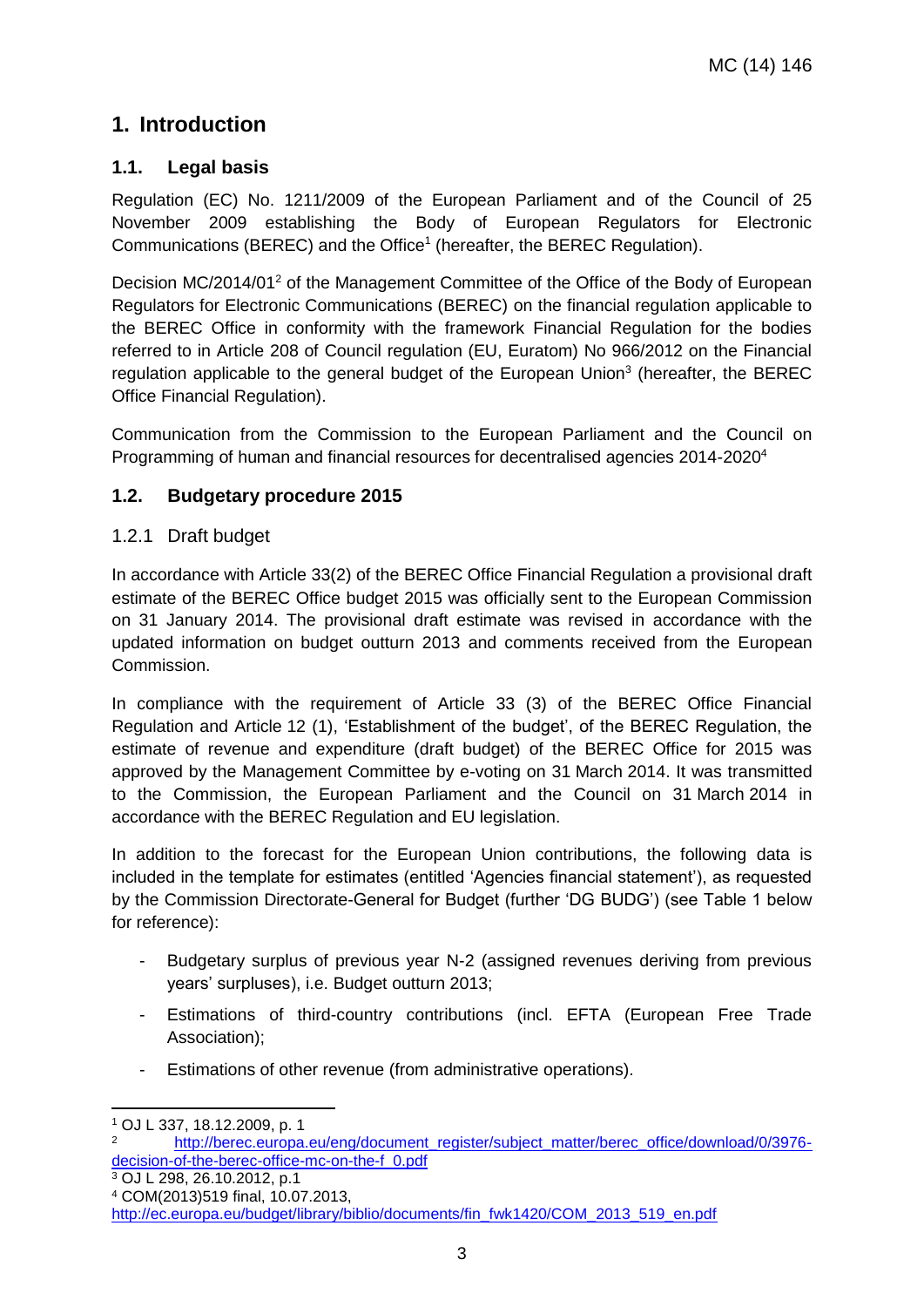## <span id="page-2-0"></span>**1. Introduction**

## <span id="page-2-1"></span>**1.1. Legal basis**

Regulation (EC) No. 1211/2009 of the European Parliament and of the Council of 25 November 2009 establishing the Body of European Regulators for Electronic Communications (BEREC) and the Office<sup>1</sup> (hereafter, the BEREC Regulation).

Decision MC/2014/01<sup>2</sup> of the Management Committee of the Office of the Body of European Regulators for Electronic Communications (BEREC) on the financial regulation applicable to the BEREC Office in conformity with the framework Financial Regulation for the bodies referred to in Article 208 of Council regulation (EU, Euratom) No 966/2012 on the Financial regulation applicable to the general budget of the European Union<sup>3</sup> (hereafter, the BEREC Office Financial Regulation).

Communication from the Commission to the European Parliament and the Council on Programming of human and financial resources for decentralised agencies 2014-2020<sup>4</sup>

## <span id="page-2-2"></span>**1.2. Budgetary procedure 2015**

## 1.2.1 Draft budget

In accordance with Article 33(2) of the BEREC Office Financial Regulation a provisional draft estimate of the BEREC Office budget 2015 was officially sent to the European Commission on 31 January 2014. The provisional draft estimate was revised in accordance with the updated information on budget outturn 2013 and comments received from the European Commission.

In compliance with the requirement of Article 33 (3) of the BEREC Office Financial Regulation and Article 12 (1), 'Establishment of the budget', of the BEREC Regulation, the estimate of revenue and expenditure (draft budget) of the BEREC Office for 2015 was approved by the Management Committee by e-voting on 31 March 2014. It was transmitted to the Commission, the European Parliament and the Council on 31 March 2014 in accordance with the BEREC Regulation and EU legislation.

In addition to the forecast for the European Union contributions, the following data is included in the template for estimates (entitled 'Agencies financial statement'), as requested by the Commission Directorate-General for Budget (further 'DG BUDG') (see Table 1 below for reference):

- Budgetary surplus of previous year N-2 (assigned revenues deriving from previous years' surpluses), i.e. Budget outturn 2013;
- Estimations of third-country contributions (incl. EFTA (European Free Trade Association);
- Estimations of other revenue (from administrative operations).

 $3$  OJ L 298, 26.10.2012, p.1

<sup>-</sup><sup>1</sup> OJ L 337, 18.12.2009, p. 1

<sup>2</sup> [http://berec.europa.eu/eng/document\\_register/subject\\_matter/berec\\_office/download/0/3976](http://berec.europa.eu/eng/document_register/subject_matter/berec_office/download/0/3976-decision-of-the-berec-office-mc-on-the-f_0.pdf) [decision-of-the-berec-office-mc-on-the-f\\_0.pdf](http://berec.europa.eu/eng/document_register/subject_matter/berec_office/download/0/3976-decision-of-the-berec-office-mc-on-the-f_0.pdf)

<sup>4</sup> COM(2013)519 final, 10.07.2013,

[http://ec.europa.eu/budget/library/biblio/documents/fin\\_fwk1420/COM\\_2013\\_519\\_en.pdf](http://ec.europa.eu/budget/library/biblio/documents/fin_fwk1420/COM_2013_519_en.pdf)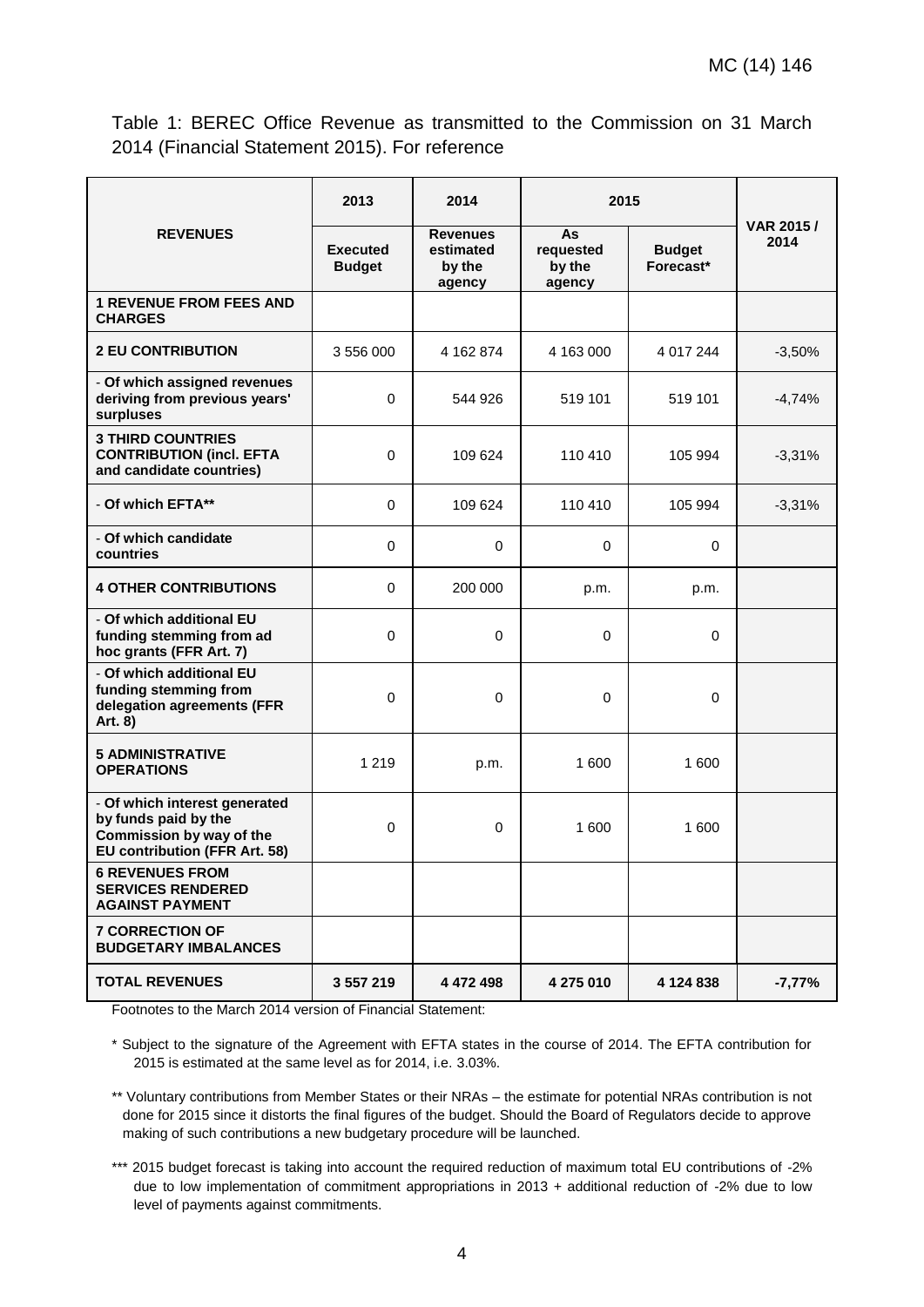Table 1: BEREC Office Revenue as transmitted to the Commission on 31 March 2014 (Financial Statement 2015). For reference

|                                                                                                                           | 2013                             | 2014                                             | 2015                                |                            |                    |
|---------------------------------------------------------------------------------------------------------------------------|----------------------------------|--------------------------------------------------|-------------------------------------|----------------------------|--------------------|
| <b>REVENUES</b>                                                                                                           | <b>Executed</b><br><b>Budget</b> | <b>Revenues</b><br>estimated<br>by the<br>agency | As<br>requested<br>by the<br>agency | <b>Budget</b><br>Forecast* | VAR 2015 /<br>2014 |
| <b>1 REVENUE FROM FEES AND</b><br><b>CHARGES</b>                                                                          |                                  |                                                  |                                     |                            |                    |
| <b>2 EU CONTRIBUTION</b>                                                                                                  | 3 556 000                        | 4 162 874                                        | 4 163 000                           | 4 017 244                  | $-3,50%$           |
| - Of which assigned revenues<br>deriving from previous years'<br>surpluses                                                | $\Omega$                         | 544 926                                          | 519 101                             | 519 101                    | $-4,74%$           |
| <b>3 THIRD COUNTRIES</b><br><b>CONTRIBUTION (incl. EFTA</b><br>and candidate countries)                                   | $\Omega$                         | 109 624                                          | 110 410                             | 105 994                    | $-3,31%$           |
| - Of which EFTA**                                                                                                         | $\mathbf 0$                      | 109 624                                          | 110 410                             | 105 994                    | $-3,31%$           |
| - Of which candidate<br>countries                                                                                         | $\mathbf 0$                      | $\mathbf 0$                                      | 0                                   | $\mathbf 0$                |                    |
| <b>4 OTHER CONTRIBUTIONS</b>                                                                                              | $\mathbf 0$                      | 200 000                                          | p.m.                                | p.m.                       |                    |
| - Of which additional EU<br>funding stemming from ad<br>hoc grants (FFR Art. 7)                                           | $\mathbf 0$                      | $\Omega$                                         | $\Omega$                            | 0                          |                    |
| - Of which additional EU<br>funding stemming from<br>delegation agreements (FFR<br>Art. 8)                                | 0                                | $\Omega$                                         | $\mathbf 0$                         | 0                          |                    |
| <b>5 ADMINISTRATIVE</b><br><b>OPERATIONS</b>                                                                              | 1 2 1 9                          | p.m.                                             | 1 600                               | 1 600                      |                    |
| - Of which interest generated<br>by funds paid by the<br>Commission by way of the<br><b>EU contribution (FFR Art. 58)</b> | 0                                | 0                                                | 1 600                               | 1 600                      |                    |
| <b>6 REVENUES FROM</b><br><b>SERVICES RENDERED</b><br><b>AGAINST PAYMENT</b>                                              |                                  |                                                  |                                     |                            |                    |
| <b>7 CORRECTION OF</b><br><b>BUDGETARY IMBALANCES</b>                                                                     |                                  |                                                  |                                     |                            |                    |
| <b>TOTAL REVENUES</b>                                                                                                     | 3 557 219                        | 4 472 498                                        | 4 275 010                           | 4 124 838                  | $-7,77%$           |

Footnotes to the March 2014 version of Financial Statement:

\* Subject to the signature of the Agreement with EFTA states in the course of 2014. The EFTA contribution for 2015 is estimated at the same level as for 2014, i.e. 3.03%.

\*\* Voluntary contributions from Member States or their NRAs – the estimate for potential NRAs contribution is not done for 2015 since it distorts the final figures of the budget. Should the Board of Regulators decide to approve making of such contributions a new budgetary procedure will be launched.

\*\*\* 2015 budget forecast is taking into account the required reduction of maximum total EU contributions of -2% due to low implementation of commitment appropriations in 2013 + additional reduction of -2% due to low level of payments against commitments.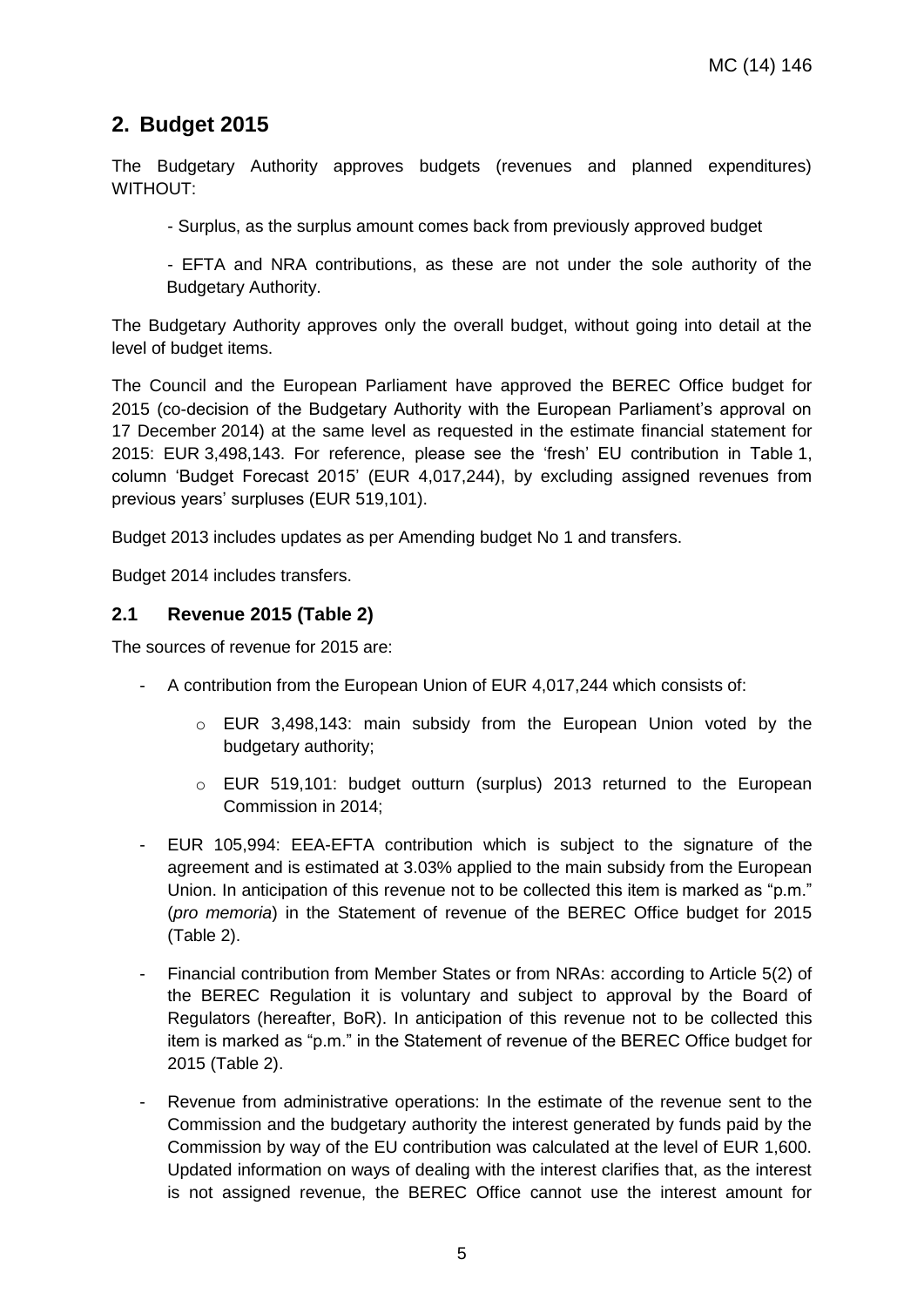## <span id="page-4-0"></span>**2. Budget 2015**

The Budgetary Authority approves budgets (revenues and planned expenditures) WITHOUT:

- Surplus, as the surplus amount comes back from previously approved budget

- EFTA and NRA contributions, as these are not under the sole authority of the Budgetary Authority.

The Budgetary Authority approves only the overall budget, without going into detail at the level of budget items.

The Council and the European Parliament have approved the BEREC Office budget for 2015 (co-decision of the Budgetary Authority with the European Parliament's approval on 17 December 2014) at the same level as requested in the estimate financial statement for 2015: EUR 3,498,143. For reference, please see the 'fresh' EU contribution in Table 1, column 'Budget Forecast 2015' (EUR 4,017,244), by excluding assigned revenues from previous years' surpluses (EUR 519,101).

Budget 2013 includes updates as per Amending budget No 1 and transfers.

Budget 2014 includes transfers.

#### <span id="page-4-1"></span>**2.1 Revenue 2015 (Table 2)**

The sources of revenue for 2015 are:

- A contribution from the European Union of EUR 4,017,244 which consists of:
	- o EUR 3,498,143: main subsidy from the European Union voted by the budgetary authority;
	- o EUR 519,101: budget outturn (surplus) 2013 returned to the European Commission in 2014;
- EUR 105,994: EEA-EFTA contribution which is subject to the signature of the agreement and is estimated at 3.03% applied to the main subsidy from the European Union. In anticipation of this revenue not to be collected this item is marked as "p.m." (*pro memoria*) in the Statement of revenue of the BEREC Office budget for 2015 (Table 2).
- Financial contribution from Member States or from NRAs: according to Article 5(2) of the BEREC Regulation it is voluntary and subject to approval by the Board of Regulators (hereafter, BoR). In anticipation of this revenue not to be collected this item is marked as "p.m." in the Statement of revenue of the BEREC Office budget for 2015 (Table 2).
- Revenue from administrative operations: In the estimate of the revenue sent to the Commission and the budgetary authority the interest generated by funds paid by the Commission by way of the EU contribution was calculated at the level of EUR 1,600. Updated information on ways of dealing with the interest clarifies that, as the interest is not assigned revenue, the BEREC Office cannot use the interest amount for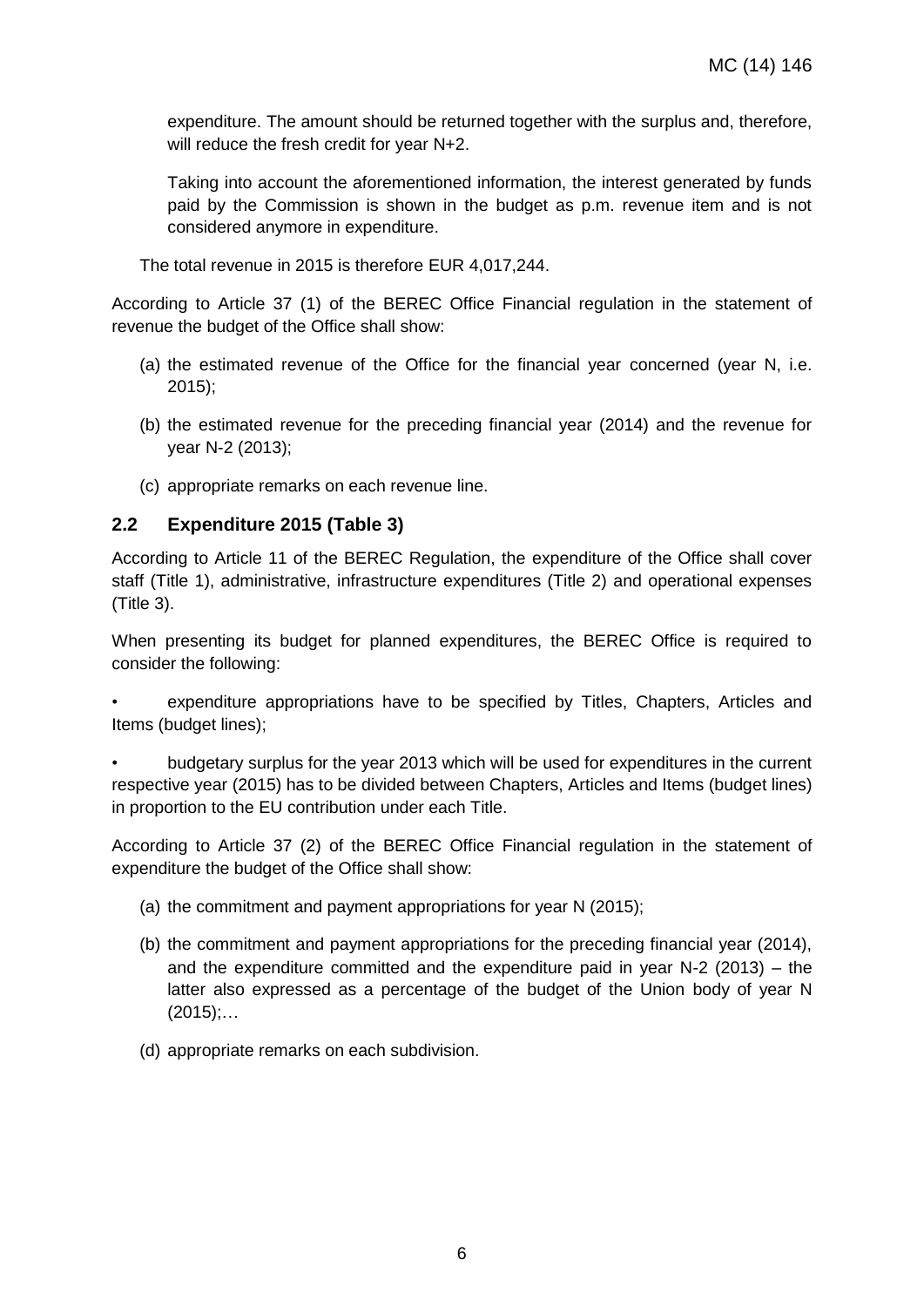expenditure. The amount should be returned together with the surplus and, therefore, will reduce the fresh credit for year N+2.

Taking into account the aforementioned information, the interest generated by funds paid by the Commission is shown in the budget as p.m. revenue item and is not considered anymore in expenditure.

The total revenue in 2015 is therefore EUR 4,017,244.

According to Article 37 (1) of the BEREC Office Financial regulation in the statement of revenue the budget of the Office shall show:

- (a) the estimated revenue of the Office for the financial year concerned (year N, i.e. 2015);
- (b) the estimated revenue for the preceding financial year (2014) and the revenue for year N-2 (2013);
- (c) appropriate remarks on each revenue line.

### <span id="page-5-0"></span>**2.2 Expenditure 2015 (Table 3)**

According to Article 11 of the BEREC Regulation, the expenditure of the Office shall cover staff (Title 1), administrative, infrastructure expenditures (Title 2) and operational expenses (Title 3).

When presenting its budget for planned expenditures, the BEREC Office is required to consider the following:

• expenditure appropriations have to be specified by Titles, Chapters, Articles and Items (budget lines);

• budgetary surplus for the year 2013 which will be used for expenditures in the current respective year (2015) has to be divided between Chapters, Articles and Items (budget lines) in proportion to the EU contribution under each Title.

According to Article 37 (2) of the BEREC Office Financial regulation in the statement of expenditure the budget of the Office shall show:

- (a) the commitment and payment appropriations for year N (2015);
- (b) the commitment and payment appropriations for the preceding financial year (2014), and the expenditure committed and the expenditure paid in year N-2 (2013) – the latter also expressed as a percentage of the budget of the Union body of year N  $(2015)$ ;...
- (d) appropriate remarks on each subdivision.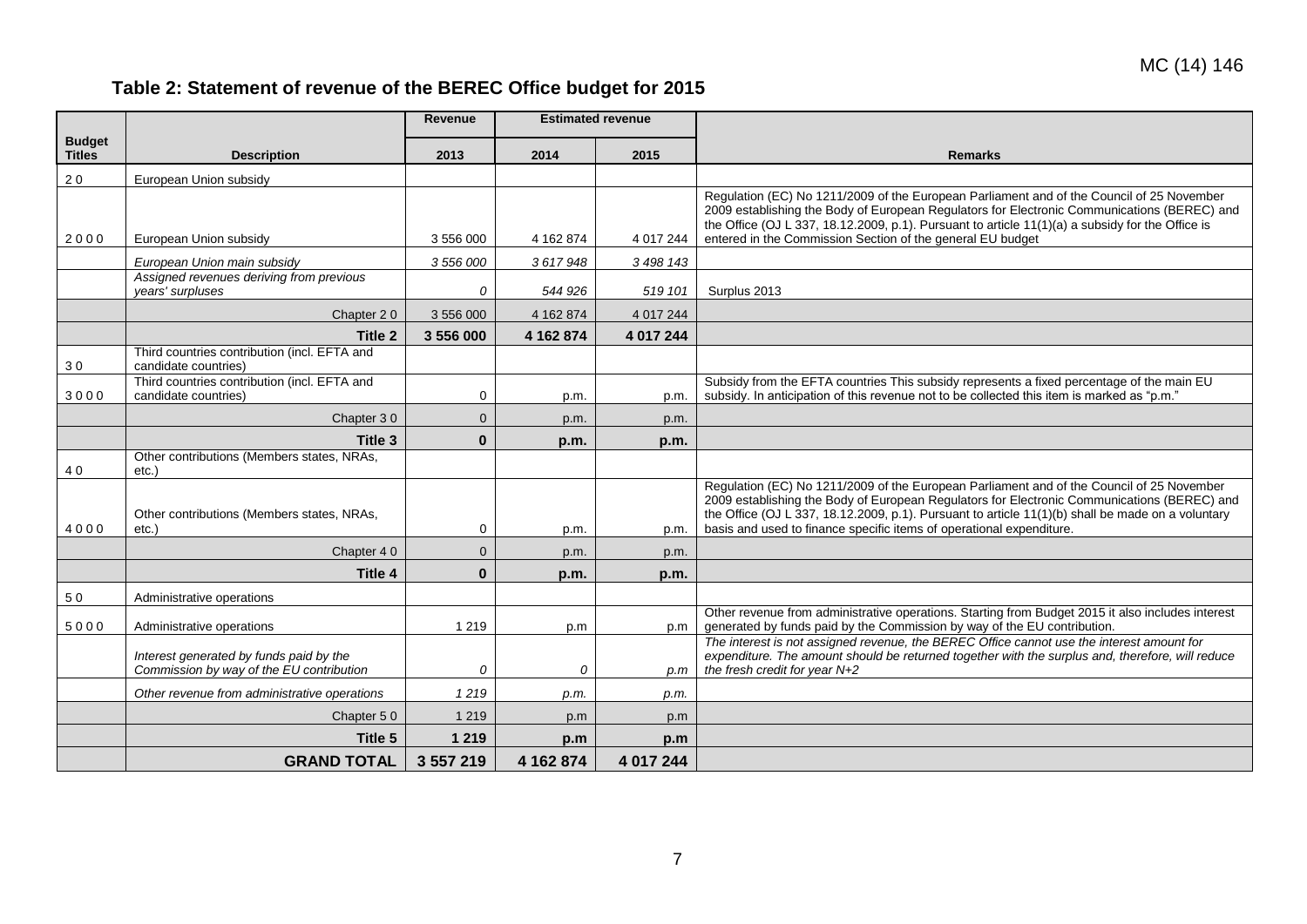# **Table 2: Statement of revenue of the BEREC Office budget for 2015**

<span id="page-6-0"></span>

|                                |                                                                                     | <b>Revenue</b> | <b>Estimated revenue</b> |             |                                                                                                                                                                                                   |
|--------------------------------|-------------------------------------------------------------------------------------|----------------|--------------------------|-------------|---------------------------------------------------------------------------------------------------------------------------------------------------------------------------------------------------|
| <b>Budget</b><br><b>Titles</b> | <b>Description</b>                                                                  | 2013           | 2014                     | 2015        | <b>Remarks</b>                                                                                                                                                                                    |
| 20                             | European Union subsidy                                                              |                |                          |             |                                                                                                                                                                                                   |
|                                |                                                                                     |                |                          |             | Regulation (EC) No 1211/2009 of the European Parliament and of the Council of 25 November                                                                                                         |
|                                |                                                                                     |                |                          |             | 2009 establishing the Body of European Regulators for Electronic Communications (BEREC) and<br>the Office (OJ L 337, 18.12.2009, p.1). Pursuant to article $11(1)(a)$ a subsidy for the Office is |
| 2000                           | European Union subsidy                                                              | 3 556 000      | 4 162 874                | 4 017 244   | entered in the Commission Section of the general EU budget                                                                                                                                        |
|                                | European Union main subsidy                                                         | 3 556 000      | 3617948                  | 3 498 143   |                                                                                                                                                                                                   |
|                                | Assigned revenues deriving from previous<br>vears' surpluses                        | 0              | 544 926                  | 519 101     | Surplus 2013                                                                                                                                                                                      |
|                                | Chapter 20                                                                          | 3 556 000      | 4 162 874                | 4 0 17 2 44 |                                                                                                                                                                                                   |
|                                | Title 2                                                                             | 3 556 000      | 4 162 874                | 4 017 244   |                                                                                                                                                                                                   |
|                                | Third countries contribution (incl. EFTA and                                        |                |                          |             |                                                                                                                                                                                                   |
| 30                             | candidate countries)<br>Third countries contribution (incl. EFTA and                |                |                          |             | Subsidy from the EFTA countries This subsidy represents a fixed percentage of the main EU                                                                                                         |
| 3000                           | candidate countries)                                                                | 0              | p.m.                     | p.m.        | subsidy. In anticipation of this revenue not to be collected this item is marked as "p.m."                                                                                                        |
|                                | Chapter 30                                                                          | $\mathbf{0}$   | p.m.                     | p.m.        |                                                                                                                                                                                                   |
|                                | Title 3                                                                             | $\bf{0}$       | p.m.                     | p.m.        |                                                                                                                                                                                                   |
| 40                             | Other contributions (Members states, NRAs,<br>etc.)                                 |                |                          |             |                                                                                                                                                                                                   |
|                                |                                                                                     |                |                          |             | Regulation (EC) No 1211/2009 of the European Parliament and of the Council of 25 November                                                                                                         |
|                                | Other contributions (Members states, NRAs,                                          |                |                          |             | 2009 establishing the Body of European Regulators for Electronic Communications (BEREC) and<br>the Office (OJ L 337, 18.12.2009, p.1). Pursuant to article 11(1)(b) shall be made on a voluntary  |
| 4000                           | $etc.$ )                                                                            | $\mathbf 0$    | p.m.                     | p.m.        | basis and used to finance specific items of operational expenditure.                                                                                                                              |
|                                | Chapter 40                                                                          | $\mathbf{0}$   | p.m.                     | p.m.        |                                                                                                                                                                                                   |
|                                | Title 4                                                                             | $\bf{0}$       | p.m.                     | p.m.        |                                                                                                                                                                                                   |
| 50                             | Administrative operations                                                           |                |                          |             |                                                                                                                                                                                                   |
| 5000                           | Administrative operations                                                           | 1 2 1 9        | p.m                      | p.m         | Other revenue from administrative operations. Starting from Budget 2015 it also includes interest<br>generated by funds paid by the Commission by way of the EU contribution.                     |
|                                |                                                                                     |                |                          |             | The interest is not assigned revenue, the BEREC Office cannot use the interest amount for                                                                                                         |
|                                | Interest generated by funds paid by the<br>Commission by way of the EU contribution | 0              | $\Omega$                 | p.m         | expenditure. The amount should be returned together with the surplus and, therefore, will reduce<br>the fresh credit for year N+2                                                                 |
|                                | Other revenue from administrative operations                                        | 1219           | p.m.                     | p.m.        |                                                                                                                                                                                                   |
|                                | Chapter 50                                                                          | 1 2 1 9        | p.m                      | p.m         |                                                                                                                                                                                                   |
|                                | Title 5                                                                             | 1 2 1 9        | p.m                      | p.m         |                                                                                                                                                                                                   |
|                                | <b>GRAND TOTAL</b>                                                                  | 3 557 219      | 4 162 874                | 4 017 244   |                                                                                                                                                                                                   |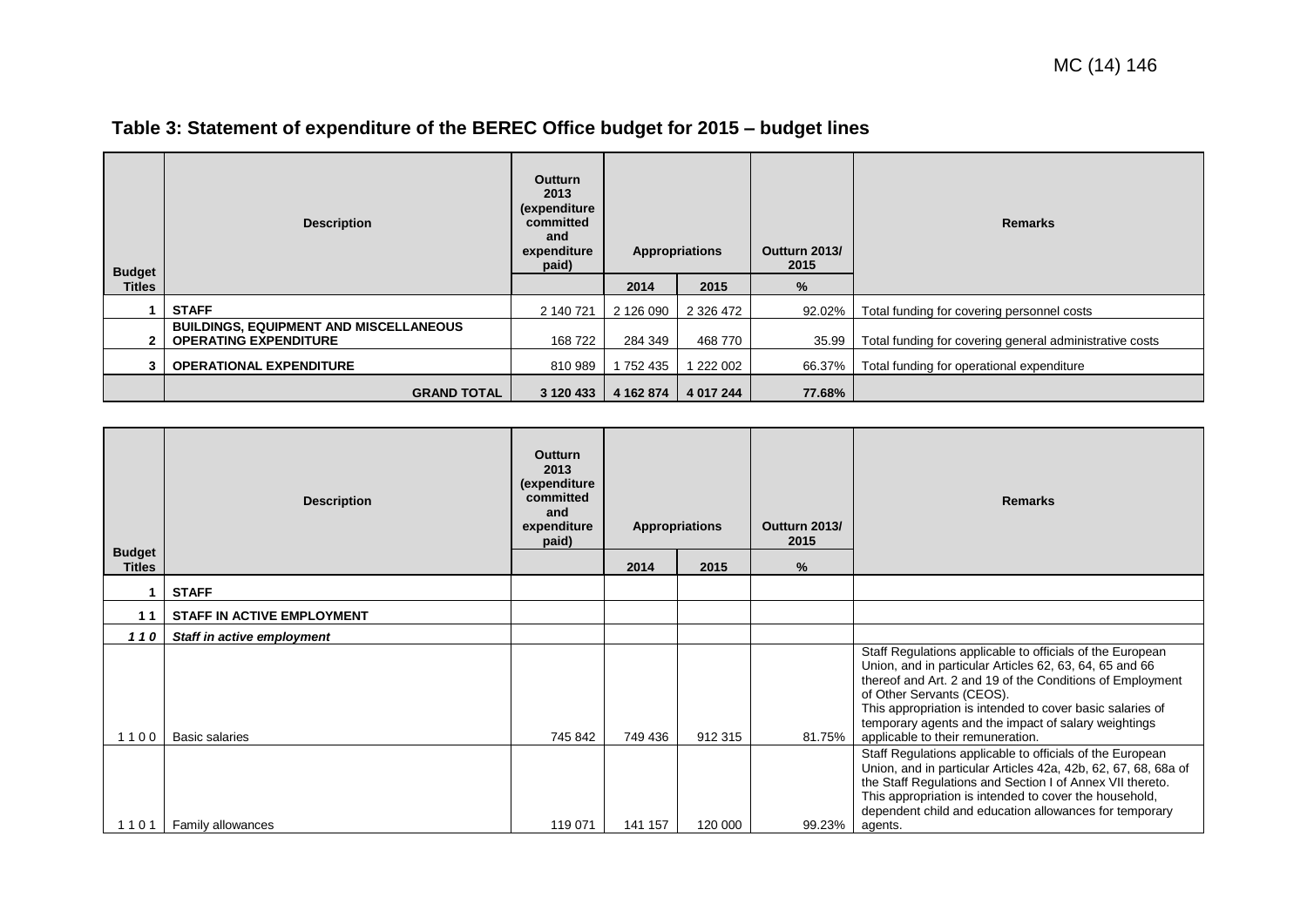| <b>Budget</b> | <b>Description</b>                                                            | <b>Outturn</b><br>2013<br>(expenditure<br>committed<br>and<br>expenditure<br>paid) | Appropriations |           | Outturn 2013/<br>2015 | <b>Remarks</b>                                          |
|---------------|-------------------------------------------------------------------------------|------------------------------------------------------------------------------------|----------------|-----------|-----------------------|---------------------------------------------------------|
| Titles        |                                                                               |                                                                                    | 2014           | 2015      | %                     |                                                         |
|               | <b>STAFF</b>                                                                  | 2 140 721                                                                          | 2 126 090      | 2 326 472 | 92.02%                | Total funding for covering personnel costs              |
|               | <b>BUILDINGS, EQUIPMENT AND MISCELLANEOUS</b><br><b>OPERATING EXPENDITURE</b> | 168 722                                                                            | 284 349        | 468 770   | 35.99                 | Total funding for covering general administrative costs |
|               | <b>OPERATIONAL EXPENDITURE</b>                                                | 810 989                                                                            | 1 752 435      | 1 222 002 | 66.37%                | Total funding for operational expenditure               |
|               | <b>GRAND TOTAL</b>                                                            | 3 120 433                                                                          | 4 162 874      | 4 017 244 | 77.68%                |                                                         |

# **Table 3: Statement of expenditure of the BEREC Office budget for 2015 – budget lines**

<span id="page-7-0"></span>

| <b>Budget</b> | <b>Description</b>                | Outturn<br>2013<br>(expenditure<br>committed<br>and<br>expenditure<br>paid) |         | <b>Appropriations</b> | Outturn 2013/<br>2015 | <b>Remarks</b>                                                                                                                                                                                                                                                                                                                                                           |
|---------------|-----------------------------------|-----------------------------------------------------------------------------|---------|-----------------------|-----------------------|--------------------------------------------------------------------------------------------------------------------------------------------------------------------------------------------------------------------------------------------------------------------------------------------------------------------------------------------------------------------------|
| <b>Titles</b> |                                   |                                                                             | 2014    | 2015                  | $\frac{9}{6}$         |                                                                                                                                                                                                                                                                                                                                                                          |
|               | <b>STAFF</b>                      |                                                                             |         |                       |                       |                                                                                                                                                                                                                                                                                                                                                                          |
| 11            | <b>STAFF IN ACTIVE EMPLOYMENT</b> |                                                                             |         |                       |                       |                                                                                                                                                                                                                                                                                                                                                                          |
| 110           | Staff in active employment        |                                                                             |         |                       |                       |                                                                                                                                                                                                                                                                                                                                                                          |
| 100           | <b>Basic salaries</b>             | 745 842                                                                     | 749 436 | 912 315               | 81.75%                | Staff Regulations applicable to officials of the European<br>Union, and in particular Articles 62, 63, 64, 65 and 66<br>thereof and Art. 2 and 19 of the Conditions of Employment<br>of Other Servants (CEOS).<br>This appropriation is intended to cover basic salaries of<br>temporary agents and the impact of salary weightings<br>applicable to their remuneration. |
| 101           | Family allowances                 | 119 071                                                                     | 141 157 | 120 000               | 99.23%                | Staff Regulations applicable to officials of the European<br>Union, and in particular Articles 42a, 42b, 62, 67, 68, 68a of<br>the Staff Regulations and Section I of Annex VII thereto.<br>This appropriation is intended to cover the household,<br>dependent child and education allowances for temporary<br>agents.                                                  |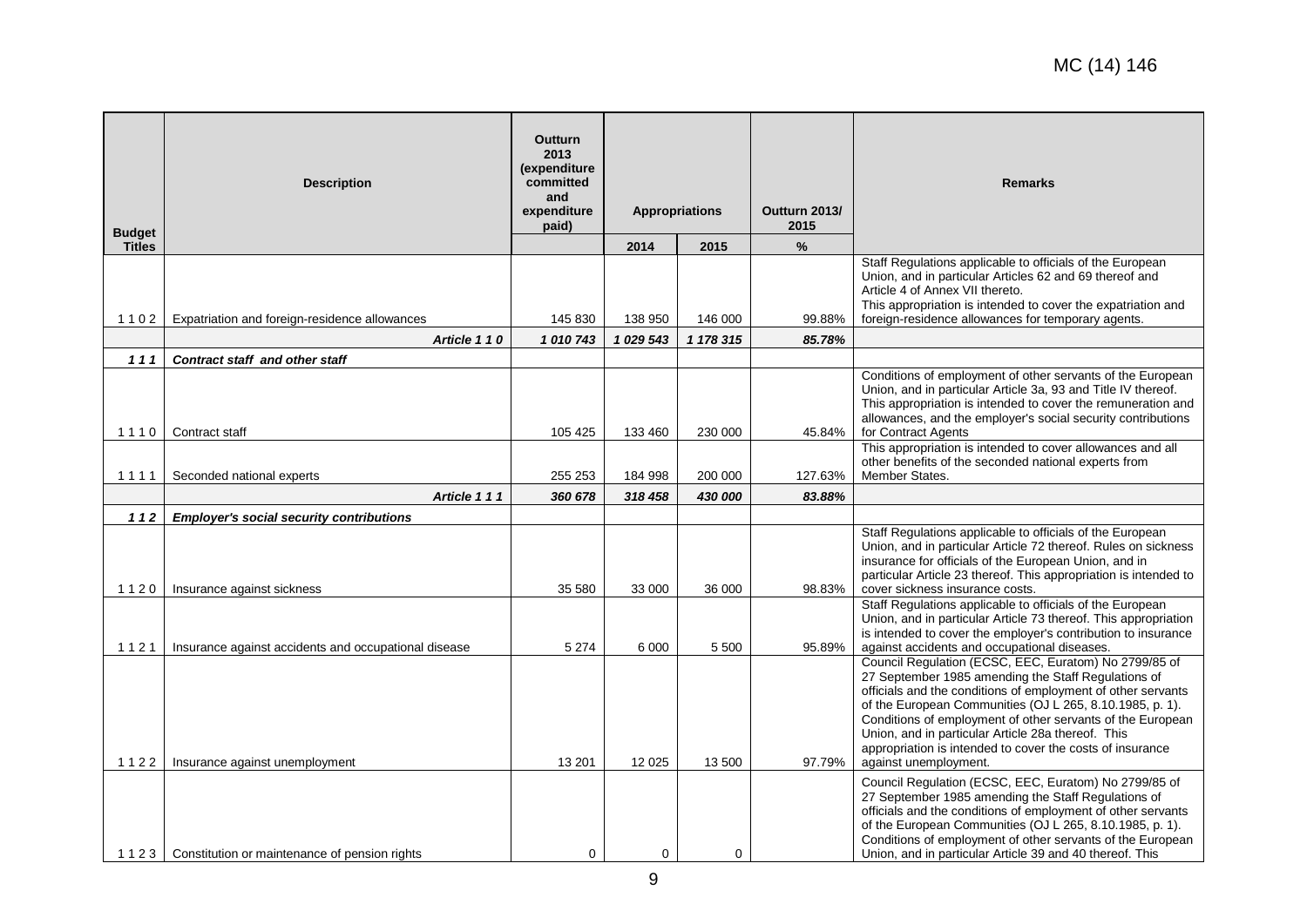| <b>Budget</b> | <b>Description</b>                                   | <b>Outturn</b><br>2013<br>(expenditure<br>committed<br>and<br>expenditure<br>paid) |           | <b>Appropriations</b> | Outturn 2013/<br>2015 | <b>Remarks</b>                                                                                                                                                                                                                                                                                                                                                                                                                                     |
|---------------|------------------------------------------------------|------------------------------------------------------------------------------------|-----------|-----------------------|-----------------------|----------------------------------------------------------------------------------------------------------------------------------------------------------------------------------------------------------------------------------------------------------------------------------------------------------------------------------------------------------------------------------------------------------------------------------------------------|
| <b>Titles</b> |                                                      |                                                                                    | 2014      | 2015                  | $\%$                  |                                                                                                                                                                                                                                                                                                                                                                                                                                                    |
| 1102          | Expatriation and foreign-residence allowances        | 145 830                                                                            | 138 950   | 146 000               | 99.88%                | Staff Regulations applicable to officials of the European<br>Union, and in particular Articles 62 and 69 thereof and<br>Article 4 of Annex VII thereto.<br>This appropriation is intended to cover the expatriation and<br>foreign-residence allowances for temporary agents.                                                                                                                                                                      |
|               | Article 110                                          | 1010743                                                                            | 1 029 543 | 1 178 315             | 85.78%                |                                                                                                                                                                                                                                                                                                                                                                                                                                                    |
| 111           | Contract staff and other staff                       |                                                                                    |           |                       |                       |                                                                                                                                                                                                                                                                                                                                                                                                                                                    |
| 1110          | Contract staff                                       | 105 425                                                                            | 133 460   | 230 000               | 45.84%                | Conditions of employment of other servants of the European<br>Union, and in particular Article 3a, 93 and Title IV thereof.<br>This appropriation is intended to cover the remuneration and<br>allowances, and the employer's social security contributions<br>for Contract Agents                                                                                                                                                                 |
|               |                                                      |                                                                                    |           |                       |                       | This appropriation is intended to cover allowances and all                                                                                                                                                                                                                                                                                                                                                                                         |
| 1111          | Seconded national experts                            | 255 253                                                                            | 184 998   | 200 000               | 127.63%               | other benefits of the seconded national experts from<br>Member States.                                                                                                                                                                                                                                                                                                                                                                             |
|               | Article 111                                          | 360 678                                                                            |           | 430 000               |                       |                                                                                                                                                                                                                                                                                                                                                                                                                                                    |
| 112           | <b>Employer's social security contributions</b>      |                                                                                    | 318 458   |                       | 83.88%                |                                                                                                                                                                                                                                                                                                                                                                                                                                                    |
| 1120          | Insurance against sickness                           | 35 580                                                                             | 33 000    | 36 000                | 98.83%                | Staff Regulations applicable to officials of the European<br>Union, and in particular Article 72 thereof. Rules on sickness<br>insurance for officials of the European Union, and in<br>particular Article 23 thereof. This appropriation is intended to<br>cover sickness insurance costs.                                                                                                                                                        |
| 1121          | Insurance against accidents and occupational disease | 5 2 7 4                                                                            | 6 0 0 0   | 5 500                 | 95.89%                | Staff Regulations applicable to officials of the European<br>Union, and in particular Article 73 thereof. This appropriation<br>is intended to cover the employer's contribution to insurance<br>against accidents and occupational diseases.                                                                                                                                                                                                      |
| 1122          | Insurance against unemployment                       | 13 201                                                                             | 12 0 25   | 13 500                | 97.79%                | Council Regulation (ECSC, EEC, Euratom) No 2799/85 of<br>27 September 1985 amending the Staff Regulations of<br>officials and the conditions of employment of other servants<br>of the European Communities (OJ L 265, 8.10.1985, p. 1).<br>Conditions of employment of other servants of the European<br>Union, and in particular Article 28a thereof. This<br>appropriation is intended to cover the costs of insurance<br>against unemployment. |
|               | 1123   Constitution or maintenance of pension rights | $\mathbf 0$                                                                        | 0         | $\mathbf 0$           |                       | Council Regulation (ECSC, EEC, Euratom) No 2799/85 of<br>27 September 1985 amending the Staff Regulations of<br>officials and the conditions of employment of other servants<br>of the European Communities (OJ L 265, 8.10.1985, p. 1).<br>Conditions of employment of other servants of the European<br>Union, and in particular Article 39 and 40 thereof. This                                                                                 |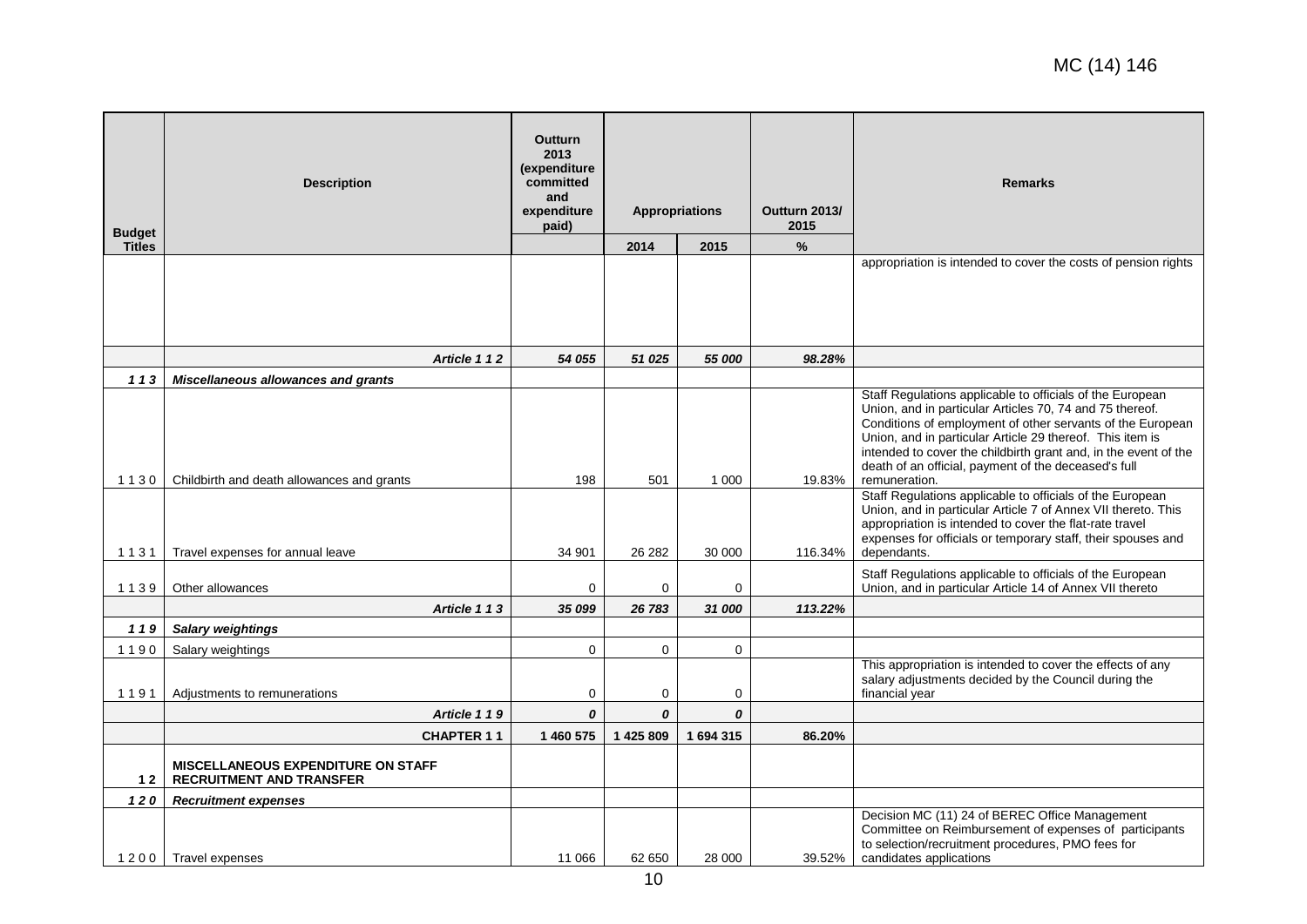| <b>Budget</b> | <b>Description</b>                                                           | <b>Outturn</b><br>2013<br>(expenditure<br>committed<br>and<br>expenditure<br>paid) |             | <b>Appropriations</b> | Outturn 2013/<br>2015 | <b>Remarks</b>                                                                                                                                                                                                                                                                                                                                                                               |
|---------------|------------------------------------------------------------------------------|------------------------------------------------------------------------------------|-------------|-----------------------|-----------------------|----------------------------------------------------------------------------------------------------------------------------------------------------------------------------------------------------------------------------------------------------------------------------------------------------------------------------------------------------------------------------------------------|
| <b>Titles</b> |                                                                              |                                                                                    | 2014        | 2015                  | $\%$                  |                                                                                                                                                                                                                                                                                                                                                                                              |
|               |                                                                              |                                                                                    |             |                       |                       | appropriation is intended to cover the costs of pension rights                                                                                                                                                                                                                                                                                                                               |
|               | Article 112                                                                  | 54 055                                                                             | 51 025      | 55 000                | 98.28%                |                                                                                                                                                                                                                                                                                                                                                                                              |
| 113           | <b>Miscellaneous allowances and grants</b>                                   |                                                                                    |             |                       |                       |                                                                                                                                                                                                                                                                                                                                                                                              |
| 1130          | Childbirth and death allowances and grants                                   | 198                                                                                | 501         | 1 0 0 0               | 19.83%                | Staff Regulations applicable to officials of the European<br>Union, and in particular Articles 70, 74 and 75 thereof.<br>Conditions of employment of other servants of the European<br>Union, and in particular Article 29 thereof. This item is<br>intended to cover the childbirth grant and, in the event of the<br>death of an official, payment of the deceased's full<br>remuneration. |
| 1131          | Travel expenses for annual leave                                             | 34 901                                                                             | 26 28 2     | 30 000                | 116.34%               | Staff Regulations applicable to officials of the European<br>Union, and in particular Article 7 of Annex VII thereto. This<br>appropriation is intended to cover the flat-rate travel<br>expenses for officials or temporary staff, their spouses and<br>dependants.                                                                                                                         |
| 1139          | Other allowances                                                             | $\mathbf 0$                                                                        | 0           | 0                     |                       | Staff Regulations applicable to officials of the European<br>Union, and in particular Article 14 of Annex VII thereto                                                                                                                                                                                                                                                                        |
|               | Article 113                                                                  | 35 099                                                                             | 26 783      | 31 000                | 113.22%               |                                                                                                                                                                                                                                                                                                                                                                                              |
| 119           | <b>Salary weightings</b>                                                     |                                                                                    |             |                       |                       |                                                                                                                                                                                                                                                                                                                                                                                              |
| 1190          | Salary weightings                                                            | $\mathbf 0$                                                                        | $\mathbf 0$ | 0                     |                       |                                                                                                                                                                                                                                                                                                                                                                                              |
| 1191          | Adjustments to remunerations                                                 | 0                                                                                  | $\mathbf 0$ | 0                     |                       | This appropriation is intended to cover the effects of any<br>salary adjustments decided by the Council during the<br>financial year                                                                                                                                                                                                                                                         |
|               | Article 119                                                                  | 0                                                                                  | 0           | 0                     |                       |                                                                                                                                                                                                                                                                                                                                                                                              |
|               | <b>CHAPTER 11</b>                                                            | 1 460 575                                                                          | 1425809     | 1 694 315             | 86.20%                |                                                                                                                                                                                                                                                                                                                                                                                              |
| $12$          | <b>MISCELLANEOUS EXPENDITURE ON STAFF</b><br><b>RECRUITMENT AND TRANSFER</b> |                                                                                    |             |                       |                       |                                                                                                                                                                                                                                                                                                                                                                                              |
| 120           | <b>Recruitment expenses</b>                                                  |                                                                                    |             |                       |                       |                                                                                                                                                                                                                                                                                                                                                                                              |
|               | 1200   Travel expenses                                                       | 11 066                                                                             | 62 650      | 28 000                | 39.52%                | Decision MC (11) 24 of BEREC Office Management<br>Committee on Reimbursement of expenses of participants<br>to selection/recruitment procedures, PMO fees for<br>candidates applications                                                                                                                                                                                                     |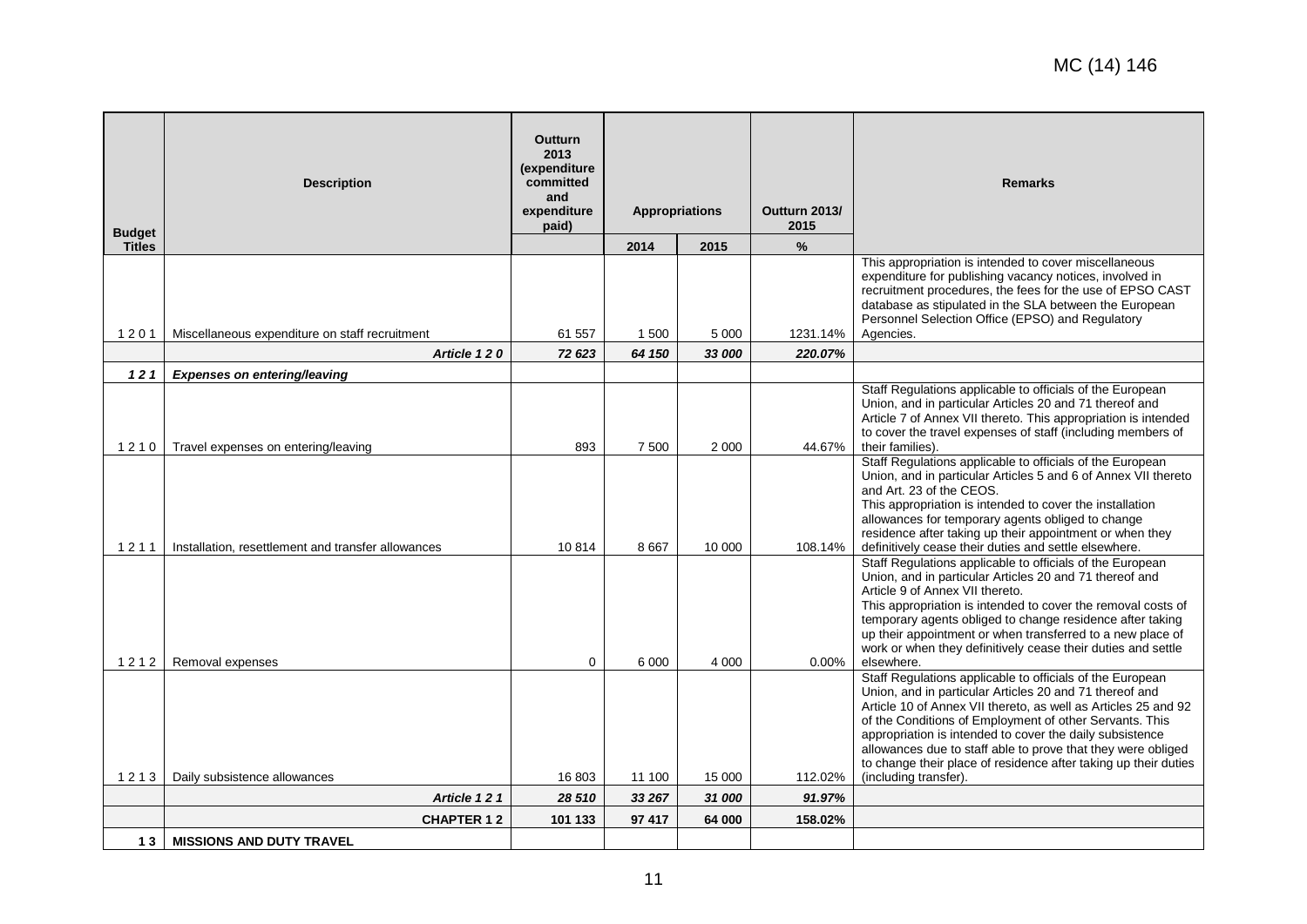| <b>Budget</b> | <b>Description</b>                                 | <b>Outturn</b><br>2013<br>(expenditure<br>committed<br>and<br>expenditure<br>paid) | <b>Appropriations</b> |         | Outturn 2013/<br>2015 | <b>Remarks</b>                                                                                                                                                                                                                                                                                                                                                                                                     |
|---------------|----------------------------------------------------|------------------------------------------------------------------------------------|-----------------------|---------|-----------------------|--------------------------------------------------------------------------------------------------------------------------------------------------------------------------------------------------------------------------------------------------------------------------------------------------------------------------------------------------------------------------------------------------------------------|
| <b>Titles</b> |                                                    |                                                                                    | 2014                  | 2015    | $\%$                  |                                                                                                                                                                                                                                                                                                                                                                                                                    |
| 1201          | Miscellaneous expenditure on staff recruitment     | 61 557                                                                             | 1 500                 | 5 0 0 0 | 1231.14%              | This appropriation is intended to cover miscellaneous<br>expenditure for publishing vacancy notices, involved in<br>recruitment procedures, the fees for the use of EPSO CAST<br>database as stipulated in the SLA between the European<br>Personnel Selection Office (EPSO) and Regulatory<br>Agencies.                                                                                                           |
|               | Article 120                                        | 72 623                                                                             | 64 150                | 33 000  | 220.07%               |                                                                                                                                                                                                                                                                                                                                                                                                                    |
| $121$         | Expenses on entering/leaving                       |                                                                                    |                       |         |                       |                                                                                                                                                                                                                                                                                                                                                                                                                    |
| 1210          | Travel expenses on entering/leaving                | 893                                                                                | 7 500                 | 2 0 0 0 | 44.67%                | Staff Regulations applicable to officials of the European<br>Union, and in particular Articles 20 and 71 thereof and<br>Article 7 of Annex VII thereto. This appropriation is intended<br>to cover the travel expenses of staff (including members of<br>their families).                                                                                                                                          |
| 1211          | Installation, resettlement and transfer allowances | 10814                                                                              | 8667                  | 10 000  | 108.14%               | Staff Regulations applicable to officials of the European<br>Union, and in particular Articles 5 and 6 of Annex VII thereto<br>and Art. 23 of the CEOS.<br>This appropriation is intended to cover the installation<br>allowances for temporary agents obliged to change<br>residence after taking up their appointment or when they<br>definitively cease their duties and settle elsewhere.                      |
|               |                                                    |                                                                                    |                       |         |                       | Staff Regulations applicable to officials of the European<br>Union, and in particular Articles 20 and 71 thereof and<br>Article 9 of Annex VII thereto.<br>This appropriation is intended to cover the removal costs of<br>temporary agents obliged to change residence after taking<br>up their appointment or when transferred to a new place of<br>work or when they definitively cease their duties and settle |
| 1212          | Removal expenses                                   | $\mathbf 0$                                                                        | 6 0 0 0               | 4 0 0 0 | $0.00\%$              | elsewhere.<br>Staff Regulations applicable to officials of the European                                                                                                                                                                                                                                                                                                                                            |
| 1213          | Daily subsistence allowances                       | 16 803                                                                             | 11 100                | 15 000  | 112.02%               | Union, and in particular Articles 20 and 71 thereof and<br>Article 10 of Annex VII thereto, as well as Articles 25 and 92<br>of the Conditions of Employment of other Servants. This<br>appropriation is intended to cover the daily subsistence<br>allowances due to staff able to prove that they were obliged<br>to change their place of residence after taking up their duties<br>(including transfer).       |
|               | Article 121                                        | 28 510                                                                             | 33 267                | 31 000  | 91.97%                |                                                                                                                                                                                                                                                                                                                                                                                                                    |
|               | <b>CHAPTER 12</b>                                  | 101 133                                                                            | 97 417                | 64 000  | 158.02%               |                                                                                                                                                                                                                                                                                                                                                                                                                    |
| 13            | <b>MISSIONS AND DUTY TRAVEL</b>                    |                                                                                    |                       |         |                       |                                                                                                                                                                                                                                                                                                                                                                                                                    |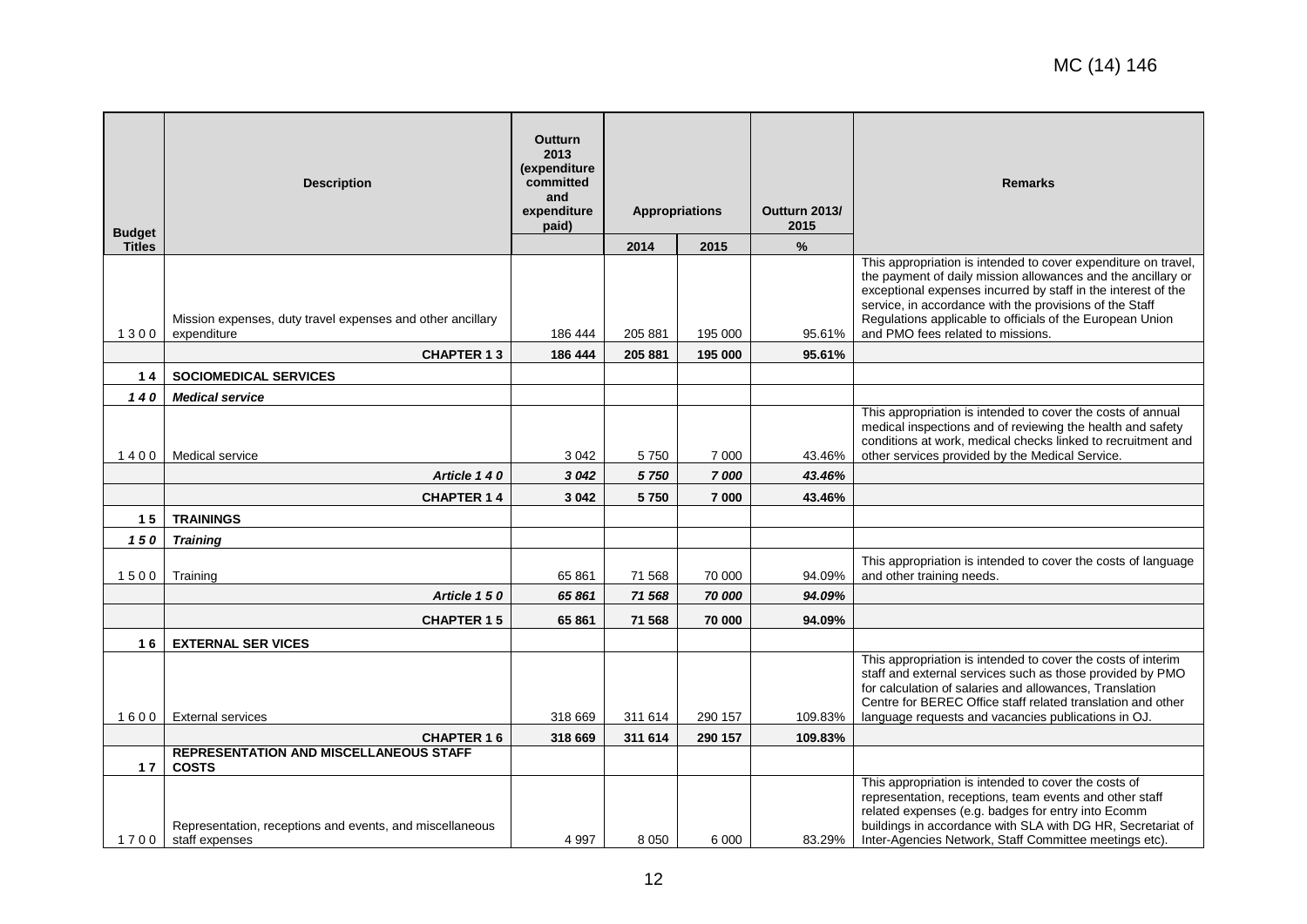| <b>Budget</b> | <b>Description</b>                                                         | <b>Outturn</b><br>2013<br>(expenditure<br>committed<br>and<br>expenditure<br>paid) | <b>Appropriations</b> |                 | Outturn 2013/<br>2015 | <b>Remarks</b>                                                                                                                                                                                                                                                                                                                                               |
|---------------|----------------------------------------------------------------------------|------------------------------------------------------------------------------------|-----------------------|-----------------|-----------------------|--------------------------------------------------------------------------------------------------------------------------------------------------------------------------------------------------------------------------------------------------------------------------------------------------------------------------------------------------------------|
| <b>Titles</b> |                                                                            |                                                                                    | 2014                  | 2015            | $\%$                  |                                                                                                                                                                                                                                                                                                                                                              |
| 1300          | Mission expenses, duty travel expenses and other ancillary<br>expenditure  | 186 444                                                                            | 205 881               | 195 000         | 95.61%                | This appropriation is intended to cover expenditure on travel,<br>the payment of daily mission allowances and the ancillary or<br>exceptional expenses incurred by staff in the interest of the<br>service, in accordance with the provisions of the Staff<br>Regulations applicable to officials of the European Union<br>and PMO fees related to missions. |
|               | <b>CHAPTER 13</b>                                                          | 186 444                                                                            | 205 881               | 195 000         | 95.61%                |                                                                                                                                                                                                                                                                                                                                                              |
| $14$          | <b>SOCIOMEDICAL SERVICES</b>                                               |                                                                                    |                       |                 |                       |                                                                                                                                                                                                                                                                                                                                                              |
| 140           | <b>Medical service</b>                                                     |                                                                                    |                       |                 |                       |                                                                                                                                                                                                                                                                                                                                                              |
| 1400          | Medical service<br>Article 140                                             | 3042<br>3 0 4 2                                                                    | 5750<br>5 7 5 0       | 7 0 0 0<br>7000 | 43.46%<br>43.46%      | This appropriation is intended to cover the costs of annual<br>medical inspections and of reviewing the health and safety<br>conditions at work, medical checks linked to recruitment and<br>other services provided by the Medical Service.                                                                                                                 |
|               |                                                                            |                                                                                    |                       |                 |                       |                                                                                                                                                                                                                                                                                                                                                              |
|               | <b>CHAPTER 14</b>                                                          | 3 0 4 2                                                                            | 5750                  | 7 000           | 43.46%                |                                                                                                                                                                                                                                                                                                                                                              |
| 15            | <b>TRAININGS</b>                                                           |                                                                                    |                       |                 |                       |                                                                                                                                                                                                                                                                                                                                                              |
| 150           | <b>Training</b>                                                            |                                                                                    |                       |                 |                       | This appropriation is intended to cover the costs of language                                                                                                                                                                                                                                                                                                |
| 1500          | Training                                                                   | 65 861                                                                             | 71 568                | 70 000          | 94.09%                | and other training needs.                                                                                                                                                                                                                                                                                                                                    |
|               | Article 150                                                                | 65 861                                                                             | 71 568                | 70 000          | 94.09%                |                                                                                                                                                                                                                                                                                                                                                              |
|               | <b>CHAPTER 15</b>                                                          | 65861                                                                              | 71 568                | 70 000          | 94.09%                |                                                                                                                                                                                                                                                                                                                                                              |
| 16            | <b>EXTERNAL SER VICES</b>                                                  |                                                                                    |                       |                 |                       |                                                                                                                                                                                                                                                                                                                                                              |
| 1600          | <b>External services</b>                                                   | 318 669                                                                            | 311 614               | 290 157         | 109.83%               | This appropriation is intended to cover the costs of interim<br>staff and external services such as those provided by PMO<br>for calculation of salaries and allowances, Translation<br>Centre for BEREC Office staff related translation and other<br>language requests and vacancies publications in OJ.                                                   |
|               | <b>CHAPTER 16</b>                                                          | 318 669                                                                            | 311 614               | 290 157         | 109.83%               |                                                                                                                                                                                                                                                                                                                                                              |
| 17            | <b>REPRESENTATION AND MISCELLANEOUS STAFF</b><br><b>COSTS</b>              |                                                                                    |                       |                 |                       |                                                                                                                                                                                                                                                                                                                                                              |
| 1700          | Representation, receptions and events, and miscellaneous<br>staff expenses | 4 9 9 7                                                                            | 8 0 5 0               | 6 0 0 0         | 83.29%                | This appropriation is intended to cover the costs of<br>representation, receptions, team events and other staff<br>related expenses (e.g. badges for entry into Ecomm<br>buildings in accordance with SLA with DG HR, Secretariat of<br>Inter-Agencies Network, Staff Committee meetings etc).                                                               |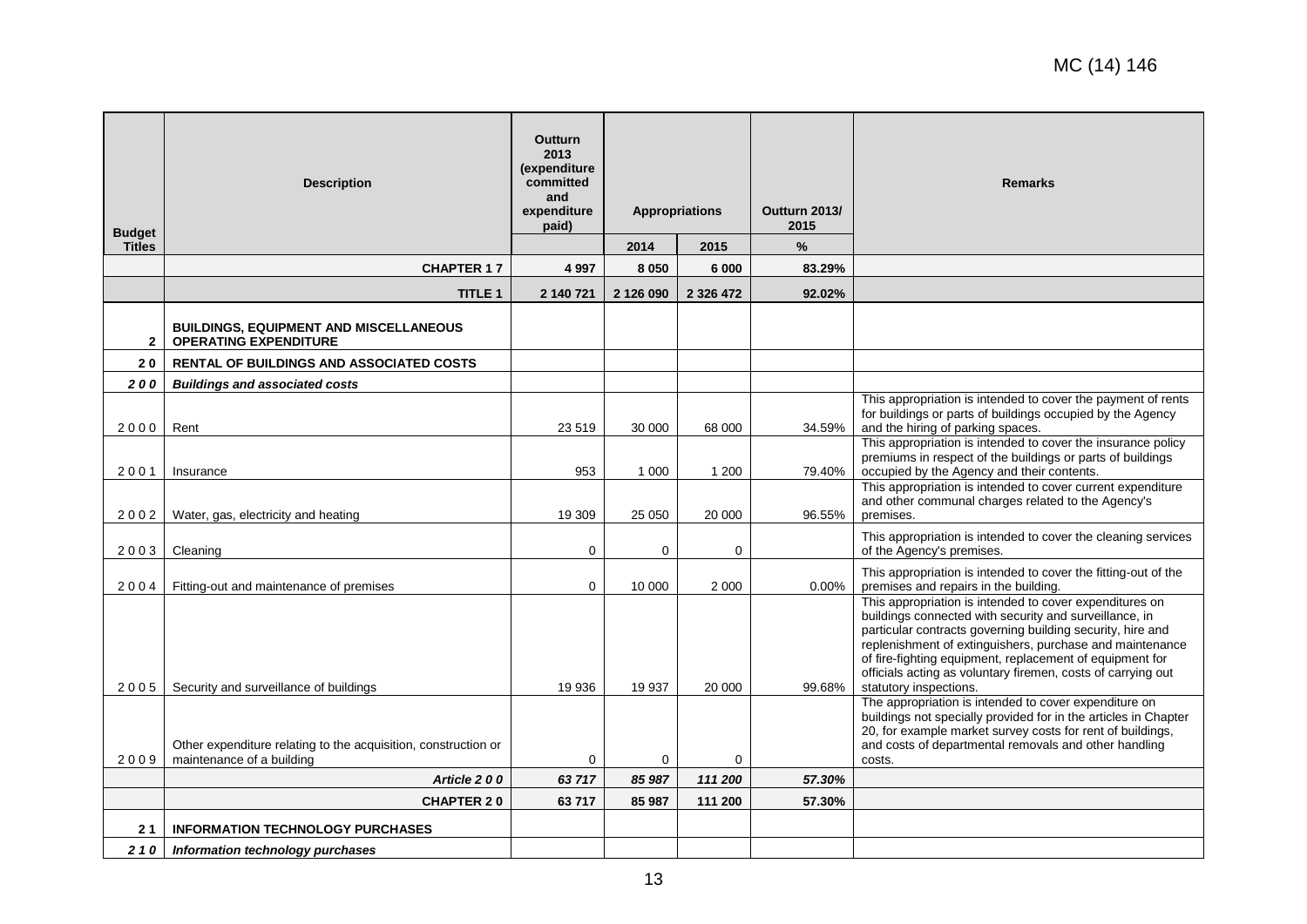| <b>Budget</b> | <b>Description</b>                                                            | Outturn<br>2013<br>(expenditure<br>committed<br>and<br>expenditure<br>paid) |             | <b>Appropriations</b> | Outturn 2013/<br>2015 | <b>Remarks</b>                                                                                                                                                                                                                                                                                                                                                                                    |
|---------------|-------------------------------------------------------------------------------|-----------------------------------------------------------------------------|-------------|-----------------------|-----------------------|---------------------------------------------------------------------------------------------------------------------------------------------------------------------------------------------------------------------------------------------------------------------------------------------------------------------------------------------------------------------------------------------------|
| <b>Titles</b> |                                                                               |                                                                             | 2014        | 2015                  | $\%$                  |                                                                                                                                                                                                                                                                                                                                                                                                   |
|               | <b>CHAPTER 17</b>                                                             | 4 9 9 7                                                                     | 8 0 5 0     | 6 000                 | 83.29%                |                                                                                                                                                                                                                                                                                                                                                                                                   |
|               | TITLE 1                                                                       | 2 140 721                                                                   | 2 126 090   | 2 3 2 6 4 7 2         | 92.02%                |                                                                                                                                                                                                                                                                                                                                                                                                   |
| $\mathbf{2}$  | <b>BUILDINGS, EQUIPMENT AND MISCELLANEOUS</b><br><b>OPERATING EXPENDITURE</b> |                                                                             |             |                       |                       |                                                                                                                                                                                                                                                                                                                                                                                                   |
| 20            | RENTAL OF BUILDINGS AND ASSOCIATED COSTS                                      |                                                                             |             |                       |                       |                                                                                                                                                                                                                                                                                                                                                                                                   |
| 200           | <b>Buildings and associated costs</b>                                         |                                                                             |             |                       |                       |                                                                                                                                                                                                                                                                                                                                                                                                   |
| 2000          | Rent                                                                          | 23 519                                                                      | 30 000      | 68 000                | 34.59%                | This appropriation is intended to cover the payment of rents<br>for buildings or parts of buildings occupied by the Agency<br>and the hiring of parking spaces.                                                                                                                                                                                                                                   |
| 2001          | Insurance                                                                     | 953                                                                         | 1 0 0 0     | 1 200                 | 79.40%                | This appropriation is intended to cover the insurance policy<br>premiums in respect of the buildings or parts of buildings<br>occupied by the Agency and their contents.                                                                                                                                                                                                                          |
| 2002          | Water, gas, electricity and heating                                           | 19 309                                                                      | 25 050      | 20 000                | 96.55%                | This appropriation is intended to cover current expenditure<br>and other communal charges related to the Agency's<br>premises.                                                                                                                                                                                                                                                                    |
| 2003          | Cleaning                                                                      | $\mathbf 0$                                                                 | $\mathbf 0$ | 0                     |                       | This appropriation is intended to cover the cleaning services<br>of the Agency's premises.                                                                                                                                                                                                                                                                                                        |
| 2004          | Fitting-out and maintenance of premises                                       | $\Omega$                                                                    | 10 000      | 2 0 0 0               | 0.00%                 | This appropriation is intended to cover the fitting-out of the<br>premises and repairs in the building.                                                                                                                                                                                                                                                                                           |
| 2005          | Security and surveillance of buildings                                        | 19 936                                                                      | 19 937      | 20 000                | 99.68%                | This appropriation is intended to cover expenditures on<br>buildings connected with security and surveillance, in<br>particular contracts governing building security, hire and<br>replenishment of extinguishers, purchase and maintenance<br>of fire-fighting equipment, replacement of equipment for<br>officials acting as voluntary firemen, costs of carrying out<br>statutory inspections. |
|               | Other expenditure relating to the acquisition, construction or                |                                                                             |             |                       |                       | The appropriation is intended to cover expenditure on<br>buildings not specially provided for in the articles in Chapter<br>20, for example market survey costs for rent of buildings,<br>and costs of departmental removals and other handling                                                                                                                                                   |
| 2009          | maintenance of a building                                                     | $\mathbf 0$                                                                 | 0           | 0                     |                       | costs.                                                                                                                                                                                                                                                                                                                                                                                            |
|               | Article 200                                                                   | 63717                                                                       | 85 987      | 111 200               | 57.30%                |                                                                                                                                                                                                                                                                                                                                                                                                   |
|               | <b>CHAPTER 20</b>                                                             | 63717                                                                       | 85 987      | 111 200               | 57.30%                |                                                                                                                                                                                                                                                                                                                                                                                                   |
| 21            | <b>INFORMATION TECHNOLOGY PURCHASES</b>                                       |                                                                             |             |                       |                       |                                                                                                                                                                                                                                                                                                                                                                                                   |
| 210           | Information technology purchases                                              |                                                                             |             |                       |                       |                                                                                                                                                                                                                                                                                                                                                                                                   |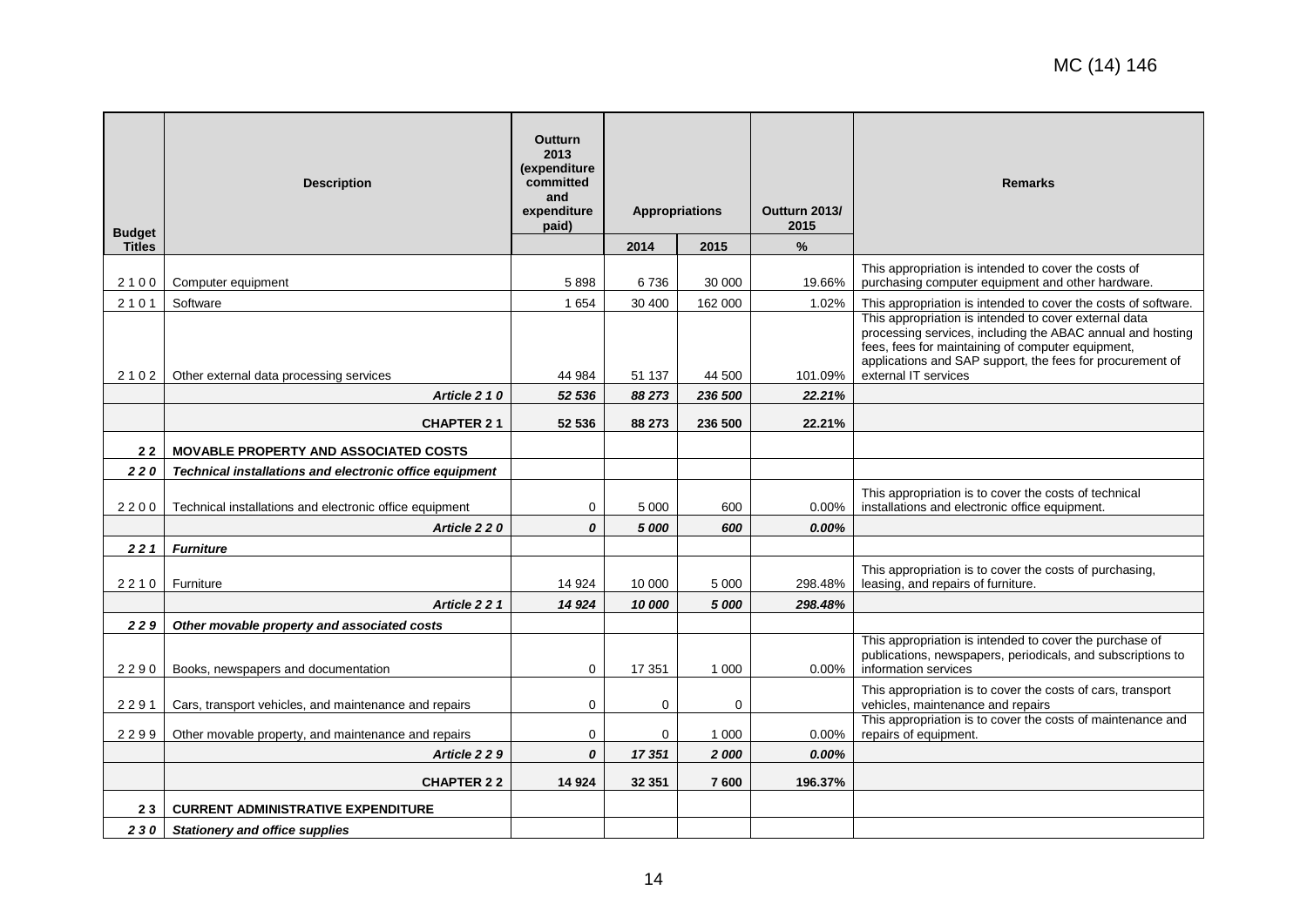| <b>Budget</b> | <b>Description</b>                                      | <b>Outturn</b><br>2013<br>(expenditure<br>committed<br>and<br>expenditure<br>paid) | <b>Appropriations</b> |         | Outturn 2013/<br>2015 | <b>Remarks</b>                                                                                                                                                                                                                                                |
|---------------|---------------------------------------------------------|------------------------------------------------------------------------------------|-----------------------|---------|-----------------------|---------------------------------------------------------------------------------------------------------------------------------------------------------------------------------------------------------------------------------------------------------------|
| <b>Titles</b> |                                                         |                                                                                    | 2014                  | 2015    | $\%$                  |                                                                                                                                                                                                                                                               |
| 2100          | Computer equipment                                      | 5898                                                                               | 6736                  | 30 000  | 19.66%                | This appropriation is intended to cover the costs of<br>purchasing computer equipment and other hardware.                                                                                                                                                     |
| 2101          | Software                                                | 1 6 5 4                                                                            | 30 400                | 162 000 | 1.02%                 | This appropriation is intended to cover the costs of software.                                                                                                                                                                                                |
| 2102          | Other external data processing services                 | 44 984                                                                             | 51 137                | 44 500  | 101.09%               | This appropriation is intended to cover external data<br>processing services, including the ABAC annual and hosting<br>fees, fees for maintaining of computer equipment,<br>applications and SAP support, the fees for procurement of<br>external IT services |
|               | Article 2 1 0                                           | 52 536                                                                             | 88 273                | 236 500 | 22.21%                |                                                                                                                                                                                                                                                               |
|               | <b>CHAPTER 21</b>                                       | 52 536                                                                             | 88 273                | 236 500 | 22.21%                |                                                                                                                                                                                                                                                               |
| 22            | <b>MOVABLE PROPERTY AND ASSOCIATED COSTS</b>            |                                                                                    |                       |         |                       |                                                                                                                                                                                                                                                               |
| 220           | Technical installations and electronic office equipment |                                                                                    |                       |         |                       |                                                                                                                                                                                                                                                               |
| 2200          | Technical installations and electronic office equipment | $\mathbf 0$                                                                        | 5 0 0 0               | 600     | 0.00%                 | This appropriation is to cover the costs of technical<br>installations and electronic office equipment.                                                                                                                                                       |
|               | Article 220                                             | $\boldsymbol{0}$                                                                   | 5 000                 | 600     | $0.00\%$              |                                                                                                                                                                                                                                                               |
| 221           | <b>Furniture</b>                                        |                                                                                    |                       |         |                       |                                                                                                                                                                                                                                                               |
| 2210          | Furniture                                               | 14 9 24                                                                            | 10 000                | 5 0 0 0 | 298.48%               | This appropriation is to cover the costs of purchasing,<br>leasing, and repairs of furniture.                                                                                                                                                                 |
|               | Article 221                                             | 14 9 24                                                                            | 10 000                | 5 000   | 298.48%               |                                                                                                                                                                                                                                                               |
| 229           | Other movable property and associated costs             |                                                                                    |                       |         |                       |                                                                                                                                                                                                                                                               |
| 2290          | Books, newspapers and documentation                     | 0                                                                                  | 17 351                | 1 0 0 0 | $0.00\%$              | This appropriation is intended to cover the purchase of<br>publications, newspapers, periodicals, and subscriptions to<br>information services                                                                                                                |
| 2291          | Cars, transport vehicles, and maintenance and repairs   | $\mathbf 0$                                                                        | $\mathbf 0$           | 0       |                       | This appropriation is to cover the costs of cars, transport<br>vehicles, maintenance and repairs                                                                                                                                                              |
| 2299          | Other movable property, and maintenance and repairs     | 0                                                                                  | 0                     | 1 0 0 0 | $0.00\%$              | This appropriation is to cover the costs of maintenance and<br>repairs of equipment.                                                                                                                                                                          |
|               | Article 229                                             | 0                                                                                  | 17351                 | 2000    | $0.00\%$              |                                                                                                                                                                                                                                                               |
|               | <b>CHAPTER 22</b>                                       | 14 9 24                                                                            | 32 351                | 7600    | 196.37%               |                                                                                                                                                                                                                                                               |
| 23            | <b>CURRENT ADMINISTRATIVE EXPENDITURE</b>               |                                                                                    |                       |         |                       |                                                                                                                                                                                                                                                               |
| 230           | <b>Stationery and office supplies</b>                   |                                                                                    |                       |         |                       |                                                                                                                                                                                                                                                               |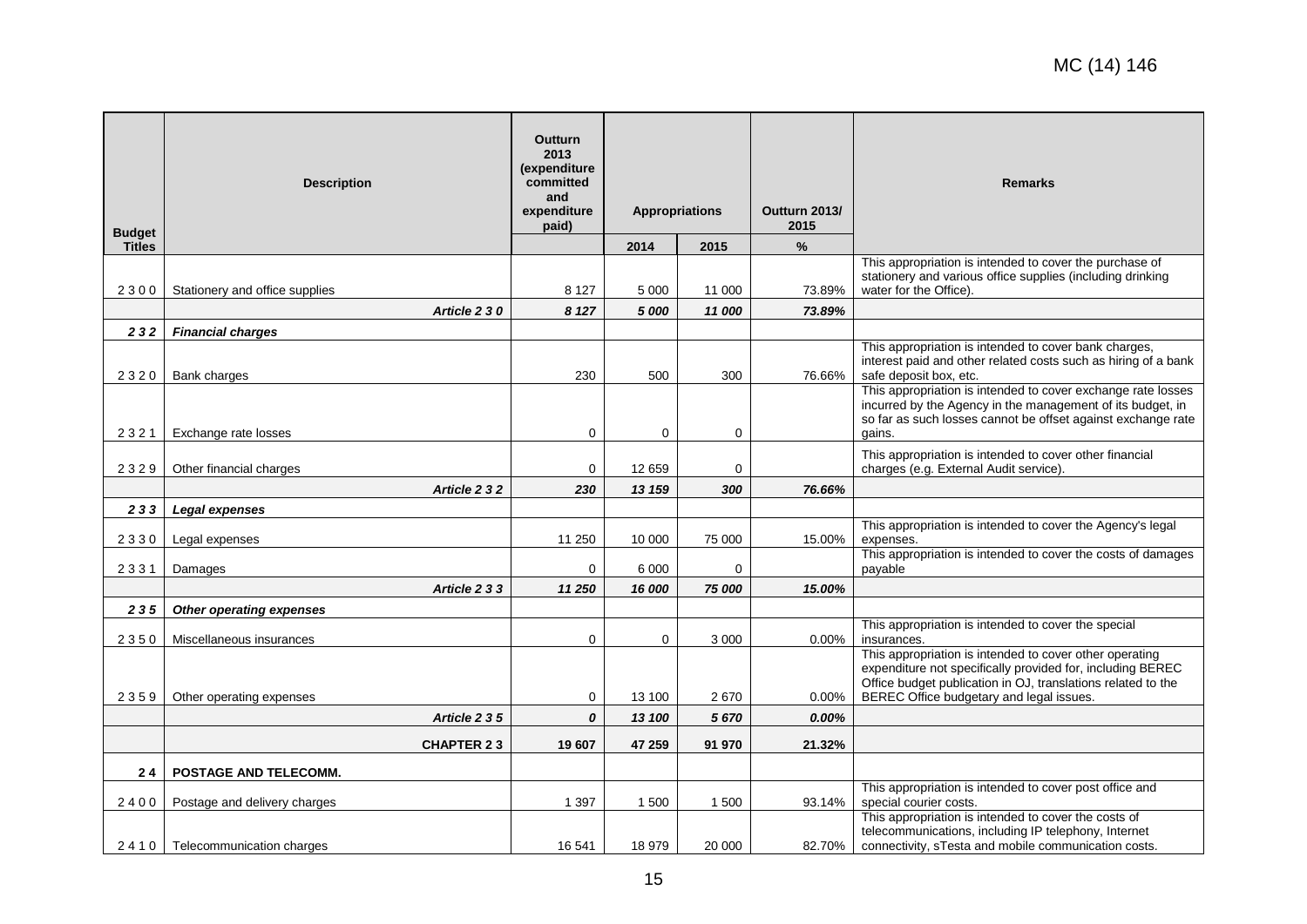| <b>Budget</b> | <b>Description</b>               | Outturn<br>2013<br>(expenditure<br>committed<br>and<br>expenditure<br>paid) | <b>Appropriations</b> |         | Outturn 2013/<br>2015 | <b>Remarks</b>                                                                                                                                                                                                                    |
|---------------|----------------------------------|-----------------------------------------------------------------------------|-----------------------|---------|-----------------------|-----------------------------------------------------------------------------------------------------------------------------------------------------------------------------------------------------------------------------------|
| <b>Titles</b> |                                  |                                                                             | 2014                  | 2015    | $\%$                  |                                                                                                                                                                                                                                   |
| 2300          | Stationery and office supplies   | 8 1 2 7                                                                     | 5 0 0 0               | 11 000  | 73.89%                | This appropriation is intended to cover the purchase of<br>stationery and various office supplies (including drinking<br>water for the Office).                                                                                   |
|               | Article 2 3 0                    | 8 1 2 7                                                                     | 5 000                 | 11 000  | 73.89%                |                                                                                                                                                                                                                                   |
| 232           | <b>Financial charges</b>         |                                                                             |                       |         |                       |                                                                                                                                                                                                                                   |
| 2320          | Bank charges                     | 230                                                                         | 500                   | 300     | 76.66%                | This appropriation is intended to cover bank charges,<br>interest paid and other related costs such as hiring of a bank<br>safe deposit box, etc.                                                                                 |
| 2321          | Exchange rate losses             | $\mathbf 0$                                                                 | 0                     | 0       |                       | This appropriation is intended to cover exchange rate losses<br>incurred by the Agency in the management of its budget, in<br>so far as such losses cannot be offset against exchange rate<br>gains.                              |
| 2329          | Other financial charges          | $\mathbf 0$                                                                 | 12 659                | 0       |                       | This appropriation is intended to cover other financial<br>charges (e.g. External Audit service).                                                                                                                                 |
|               | Article 232                      | 230                                                                         | 13 159                | 300     | 76.66%                |                                                                                                                                                                                                                                   |
| 233           | <b>Legal expenses</b>            |                                                                             |                       |         |                       |                                                                                                                                                                                                                                   |
| 2330          | Legal expenses                   | 11 250                                                                      | 10 000                | 75 000  | 15.00%                | This appropriation is intended to cover the Agency's legal<br>expenses.                                                                                                                                                           |
| 2331          | Damages                          | $\mathbf 0$                                                                 | 6 0 0 0               | 0       |                       | This appropriation is intended to cover the costs of damages<br>payable                                                                                                                                                           |
|               | Article 2 3 3                    | 11 250                                                                      | 16 000                | 75 000  | 15.00%                |                                                                                                                                                                                                                                   |
| 235           | Other operating expenses         |                                                                             |                       |         |                       |                                                                                                                                                                                                                                   |
| 2350          | Miscellaneous insurances         | $\Omega$                                                                    | $\mathbf{0}$          | 3 0 0 0 | $0.00\%$              | This appropriation is intended to cover the special<br>insurances.                                                                                                                                                                |
| 2359          | Other operating expenses         | 0                                                                           | 13 100                | 2670    | $0.00\%$              | This appropriation is intended to cover other operating<br>expenditure not specifically provided for, including BEREC<br>Office budget publication in OJ, translations related to the<br>BEREC Office budgetary and legal issues. |
|               | Article 235                      | 0                                                                           | 13 100                | 5 670   | 0.00%                 |                                                                                                                                                                                                                                   |
|               | <b>CHAPTER 23</b>                | 19 607                                                                      | 47 259                | 91 970  | 21.32%                |                                                                                                                                                                                                                                   |
| 24            | POSTAGE AND TELECOMM.            |                                                                             |                       |         |                       |                                                                                                                                                                                                                                   |
|               |                                  |                                                                             |                       |         |                       | This appropriation is intended to cover post office and                                                                                                                                                                           |
| 2400          | Postage and delivery charges     | 1 3 9 7                                                                     | 1 500                 | 1500    | 93.14%                | special courier costs.<br>This appropriation is intended to cover the costs of                                                                                                                                                    |
|               | 2410   Telecommunication charges | 16 541                                                                      | 18 979                | 20 000  | 82.70%                | telecommunications, including IP telephony, Internet<br>connectivity, sTesta and mobile communication costs.                                                                                                                      |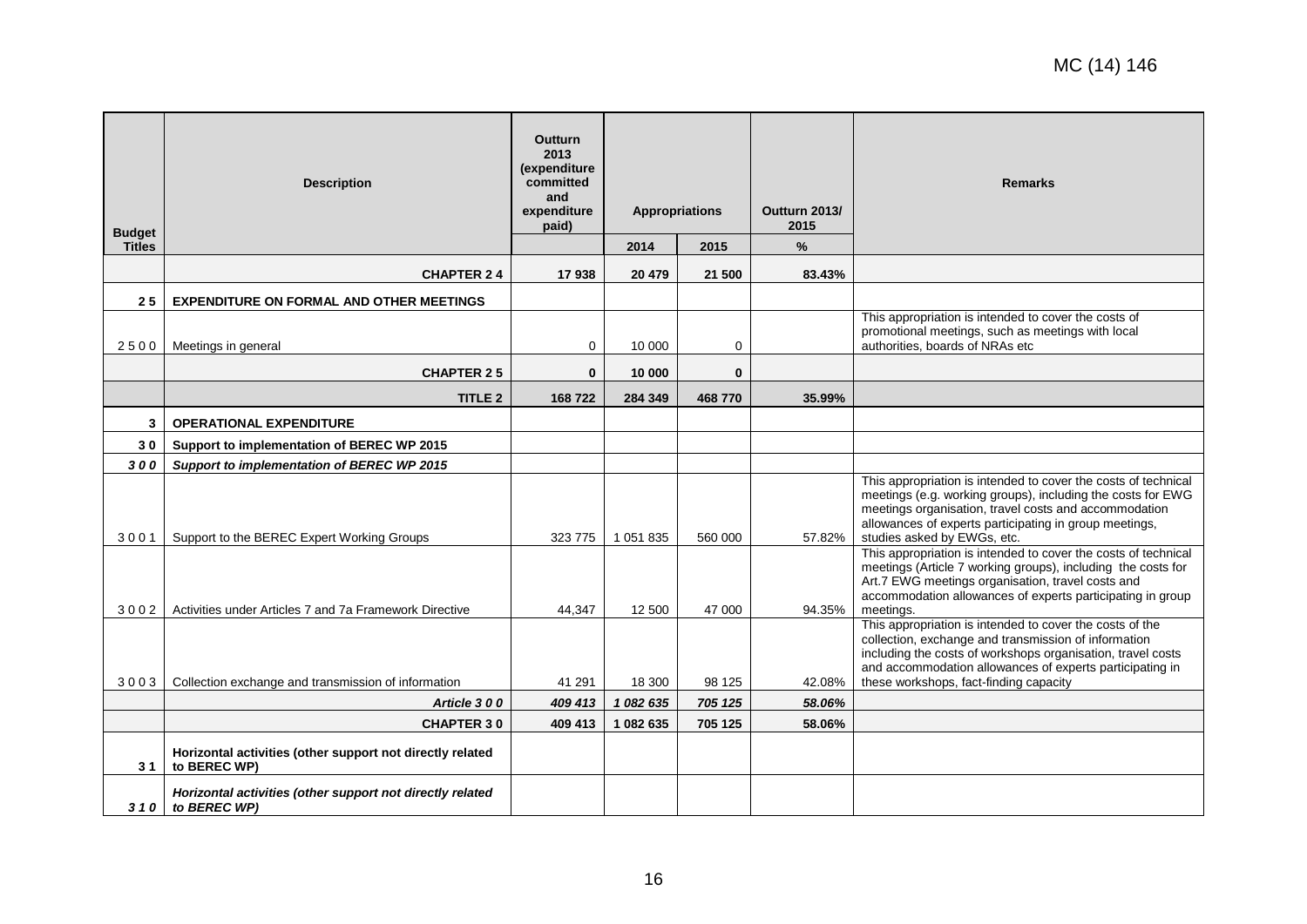| <b>Budget</b> | <b>Description</b>                                                        | Outturn<br>2013<br>(expenditure<br>committed<br>and<br>expenditure<br>paid) | <b>Appropriations</b> |              | Outturn 2013/<br>2015 | <b>Remarks</b>                                                                                                                                                                                                                                                                        |
|---------------|---------------------------------------------------------------------------|-----------------------------------------------------------------------------|-----------------------|--------------|-----------------------|---------------------------------------------------------------------------------------------------------------------------------------------------------------------------------------------------------------------------------------------------------------------------------------|
| <b>Titles</b> |                                                                           |                                                                             | 2014                  | 2015         | %                     |                                                                                                                                                                                                                                                                                       |
|               | <b>CHAPTER 24</b>                                                         | 17938                                                                       | 20 479                | 21 500       | 83.43%                |                                                                                                                                                                                                                                                                                       |
| 25            | <b>EXPENDITURE ON FORMAL AND OTHER MEETINGS</b>                           |                                                                             |                       |              |                       |                                                                                                                                                                                                                                                                                       |
| 2500          | Meetings in general                                                       | $\mathbf 0$                                                                 | 10 000                | $\mathbf 0$  |                       | This appropriation is intended to cover the costs of<br>promotional meetings, such as meetings with local<br>authorities, boards of NRAs etc                                                                                                                                          |
|               | <b>CHAPTER 25</b>                                                         | $\mathbf{0}$                                                                | 10 000                | $\mathbf{0}$ |                       |                                                                                                                                                                                                                                                                                       |
|               | <b>TITLE 2</b>                                                            | 168722                                                                      | 284 349               | 468770       | 35.99%                |                                                                                                                                                                                                                                                                                       |
| 3             | <b>OPERATIONAL EXPENDITURE</b>                                            |                                                                             |                       |              |                       |                                                                                                                                                                                                                                                                                       |
| 30            | Support to implementation of BEREC WP 2015                                |                                                                             |                       |              |                       |                                                                                                                                                                                                                                                                                       |
| 300           | Support to implementation of BEREC WP 2015                                |                                                                             |                       |              |                       |                                                                                                                                                                                                                                                                                       |
| 3001          | Support to the BEREC Expert Working Groups                                | 323 775                                                                     | 1 051 835             | 560 000      | 57.82%                | This appropriation is intended to cover the costs of technical<br>meetings (e.g. working groups), including the costs for EWG<br>meetings organisation, travel costs and accommodation<br>allowances of experts participating in group meetings,<br>studies asked by EWGs, etc.       |
| 3002          | Activities under Articles 7 and 7a Framework Directive                    | 44,347                                                                      | 12 500                | 47 000       | 94.35%                | This appropriation is intended to cover the costs of technical<br>meetings (Article 7 working groups), including the costs for<br>Art.7 EWG meetings organisation, travel costs and<br>accommodation allowances of experts participating in group<br>meetings.                        |
| 3003          | Collection exchange and transmission of information                       | 41 291                                                                      | 18 300                | 98 125       | 42.08%                | This appropriation is intended to cover the costs of the<br>collection, exchange and transmission of information<br>including the costs of workshops organisation, travel costs<br>and accommodation allowances of experts participating in<br>these workshops, fact-finding capacity |
|               | Article 300                                                               | 409 413                                                                     | 1 082 635             | 705 125      | 58.06%                |                                                                                                                                                                                                                                                                                       |
|               | <b>CHAPTER 30</b>                                                         | 409 413                                                                     | 1 082 635             | 705 125      | 58.06%                |                                                                                                                                                                                                                                                                                       |
| 31            | Horizontal activities (other support not directly related<br>to BEREC WP) |                                                                             |                       |              |                       |                                                                                                                                                                                                                                                                                       |
| 310           | Horizontal activities (other support not directly related<br>to BEREC WP) |                                                                             |                       |              |                       |                                                                                                                                                                                                                                                                                       |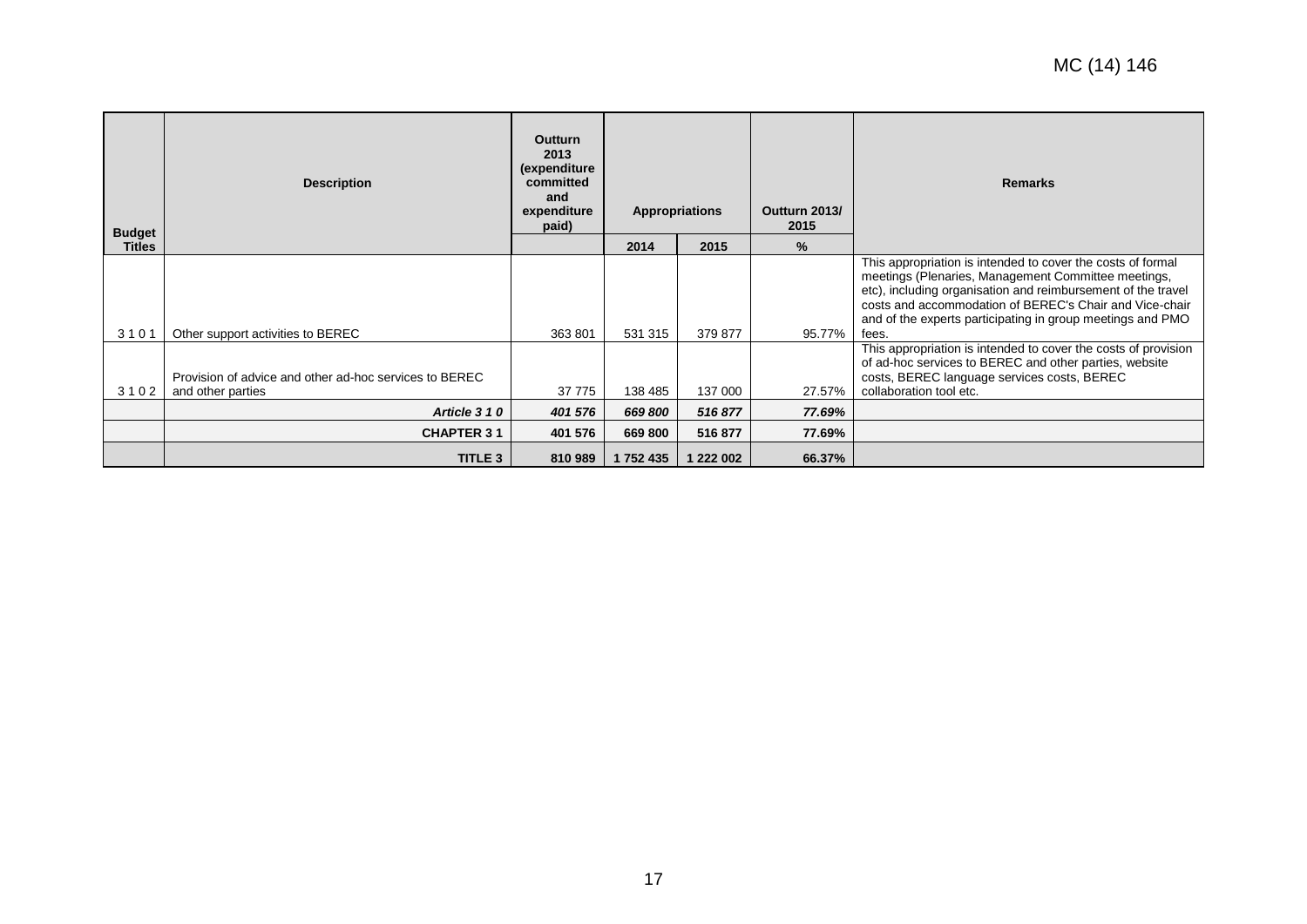| <b>Budget</b> | <b>Description</b>                                                          | <b>Outturn</b><br>2013<br>(expenditure<br>committed<br>and<br>expenditure<br>paid) |           | Appropriations | Outturn 2013/<br>2015 | <b>Remarks</b>                                                                                                                                                                                                                                                                                                       |  |
|---------------|-----------------------------------------------------------------------------|------------------------------------------------------------------------------------|-----------|----------------|-----------------------|----------------------------------------------------------------------------------------------------------------------------------------------------------------------------------------------------------------------------------------------------------------------------------------------------------------------|--|
| <b>Titles</b> |                                                                             |                                                                                    | 2014      | 2015           | $\%$                  |                                                                                                                                                                                                                                                                                                                      |  |
| 3101          | Other support activities to BEREC                                           | 363 801                                                                            | 531 315   | 379 877        | 95.77%                | This appropriation is intended to cover the costs of formal<br>meetings (Plenaries, Management Committee meetings,<br>etc), including organisation and reimbursement of the travel<br>costs and accommodation of BEREC's Chair and Vice-chair<br>and of the experts participating in group meetings and PMO<br>fees. |  |
| 3102          | Provision of advice and other ad-hoc services to BEREC<br>and other parties | 37 775                                                                             | 138 485   | 137 000        | 27.57%                | This appropriation is intended to cover the costs of provision<br>of ad-hoc services to BEREC and other parties, website<br>costs, BEREC language services costs, BEREC<br>collaboration tool etc.                                                                                                                   |  |
|               | Article 310                                                                 | 401 576                                                                            | 669 800   | 516877         | 77.69%                |                                                                                                                                                                                                                                                                                                                      |  |
|               | <b>CHAPTER 31</b>                                                           | 401 576                                                                            | 669 800   | 516 877        | 77.69%                |                                                                                                                                                                                                                                                                                                                      |  |
|               | TITLE 3                                                                     | 810 989                                                                            | 1 752 435 | 1 222 002      | 66.37%                |                                                                                                                                                                                                                                                                                                                      |  |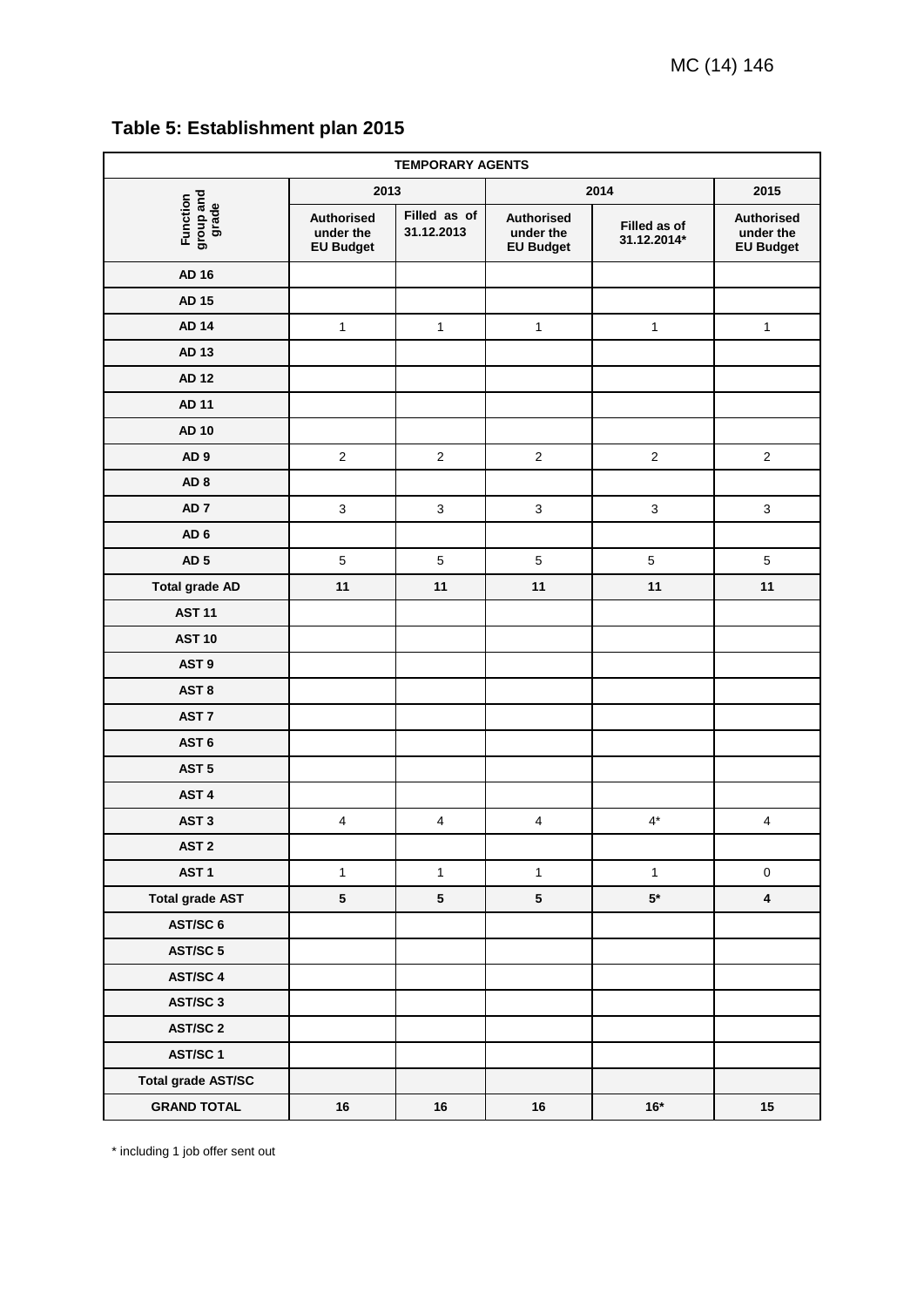<span id="page-17-0"></span>

| Table 5: Establishment plan 2015 |
|----------------------------------|
|                                  |

| <b>TEMPORARY AGENTS</b>        |                                                    |                            |                                             |                             |                                                    |  |  |
|--------------------------------|----------------------------------------------------|----------------------------|---------------------------------------------|-----------------------------|----------------------------------------------------|--|--|
|                                | 2013                                               |                            | 2014                                        | 2015                        |                                                    |  |  |
| Function<br>group and<br>grade | <b>Authorised</b><br>under the<br><b>EU Budget</b> | Filled as of<br>31.12.2013 | Authorised<br>under the<br><b>EU Budget</b> | Filled as of<br>31.12.2014* | <b>Authorised</b><br>under the<br><b>EU Budget</b> |  |  |
| <b>AD 16</b>                   |                                                    |                            |                                             |                             |                                                    |  |  |
| <b>AD 15</b>                   |                                                    |                            |                                             |                             |                                                    |  |  |
| <b>AD 14</b>                   | $\mathbf{1}$                                       | $\mathbf{1}$               | $\mathbf{1}$                                | $\mathbf{1}$                | $\mathbf{1}$                                       |  |  |
| AD 13                          |                                                    |                            |                                             |                             |                                                    |  |  |
| <b>AD 12</b>                   |                                                    |                            |                                             |                             |                                                    |  |  |
| <b>AD 11</b>                   |                                                    |                            |                                             |                             |                                                    |  |  |
| <b>AD 10</b>                   |                                                    |                            |                                             |                             |                                                    |  |  |
| AD <sub>9</sub>                | $\overline{2}$                                     | $\mathbf 2$                | $\mathbf 2$                                 | $\sqrt{2}$                  | $\mathbf 2$                                        |  |  |
| AD <sub>8</sub>                |                                                    |                            |                                             |                             |                                                    |  |  |
| AD <sub>7</sub>                | 3                                                  | $\ensuremath{\mathsf{3}}$  | $\mathsf 3$                                 | $\mathsf 3$                 | $\ensuremath{\mathsf{3}}$                          |  |  |
| AD <sub>6</sub>                |                                                    |                            |                                             |                             |                                                    |  |  |
| AD <sub>5</sub>                | $\overline{5}$                                     | $\sqrt{5}$                 | $\overline{5}$                              | $\overline{5}$              | $\sqrt{5}$                                         |  |  |
| <b>Total grade AD</b>          | 11                                                 | 11                         | 11                                          | 11                          | 11                                                 |  |  |
| <b>AST 11</b>                  |                                                    |                            |                                             |                             |                                                    |  |  |
| <b>AST 10</b>                  |                                                    |                            |                                             |                             |                                                    |  |  |
| AST <sub>9</sub>               |                                                    |                            |                                             |                             |                                                    |  |  |
| AST <sub>8</sub>               |                                                    |                            |                                             |                             |                                                    |  |  |
| AST <sub>7</sub>               |                                                    |                            |                                             |                             |                                                    |  |  |
| AST <sub>6</sub>               |                                                    |                            |                                             |                             |                                                    |  |  |
| AST <sub>5</sub>               |                                                    |                            |                                             |                             |                                                    |  |  |
| AST <sub>4</sub>               |                                                    |                            |                                             |                             |                                                    |  |  |
| AST <sub>3</sub>               | $\overline{\mathbf{4}}$                            | $\overline{\mathbf{4}}$    | $\overline{\mathbf{4}}$                     | $4^*$                       | $\overline{\mathbf{4}}$                            |  |  |
| AST <sub>2</sub>               |                                                    |                            |                                             |                             |                                                    |  |  |
| AST <sub>1</sub>               | $\mathbf{1}$                                       | $\mathbf{1}$               | $\mathbf{1}$                                | $\mathbf{1}$                | $\pmb{0}$                                          |  |  |
| <b>Total grade AST</b>         | $5\phantom{.0}$                                    | $5\phantom{.0}$            | $\sqrt{5}$                                  | ${\bf 5^{\star}}$           | $\overline{\mathbf{4}}$                            |  |  |
| AST/SC 6                       |                                                    |                            |                                             |                             |                                                    |  |  |
| AST/SC 5                       |                                                    |                            |                                             |                             |                                                    |  |  |
| AST/SC 4                       |                                                    |                            |                                             |                             |                                                    |  |  |
| AST/SC 3                       |                                                    |                            |                                             |                             |                                                    |  |  |
| <b>AST/SC 2</b>                |                                                    |                            |                                             |                             |                                                    |  |  |
| AST/SC 1                       |                                                    |                            |                                             |                             |                                                    |  |  |
| <b>Total grade AST/SC</b>      |                                                    |                            |                                             |                             |                                                    |  |  |
| <b>GRAND TOTAL</b>             | 16                                                 | 16                         | 16                                          | $16*$                       | 15                                                 |  |  |

\* including 1 job offer sent out